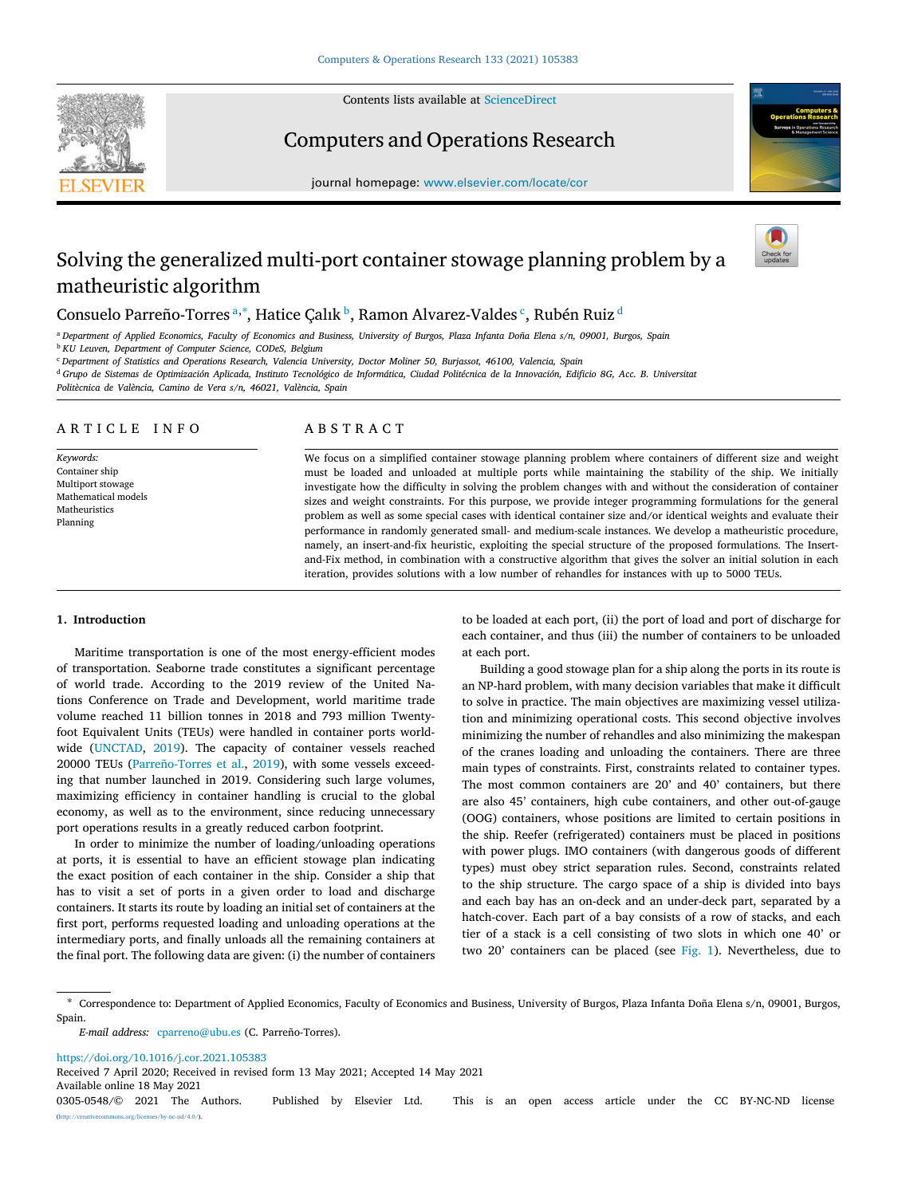Contents lists available at [ScienceDirect](http://www.elsevier.com/locate/cor)



Computers and Operations Research





# Solving the generalized multi-port container stowage planning problem by a matheuristic algorithm



## Consuelo P[a](#page-0-0)rreño-Torres ª,\*, Hatice Çalık <sup>[b](#page-0-2)</sup>, Ramon Alvarez-Valdes <sup>[c](#page-0-3)</sup>, Rubén Ruiz <sup>[d](#page-0-4)</sup>

<span id="page-0-0"></span><sup>a</sup> *Department of Applied Economics, Faculty of Economics and Business, University of Burgos, Plaza Infanta Doña Elena s/n, 09001, Burgos, Spain*

<span id="page-0-2"></span><sup>b</sup> *KU Leuven, Department of Computer Science, CODeS, Belgium*

<span id="page-0-3"></span><sup>c</sup> *Department of Statistics and Operations Research, Valencia University, Doctor Moliner 50, Burjassot, 46100, Valencia, Spain*

<span id="page-0-4"></span><sup>d</sup> *Grupo de Sistemas de Optimización Aplicada, Instituto Tecnológico de Informática, Ciudad Politécnica de la Innovación, Edificio 8G, Acc. B. Universitat*

*Politècnica de València, Camino de Vera s/n, 46021, València, Spain*

## A R T I C L E I N F O

*Keywords:* Container ship Multiport stowage Mathematical models Matheuristics Planning

## A B S T R A C T

We focus on a simplified container stowage planning problem where containers of different size and weight must be loaded and unloaded at multiple ports while maintaining the stability of the ship. We initially investigate how the difficulty in solving the problem changes with and without the consideration of container sizes and weight constraints. For this purpose, we provide integer programming formulations for the general problem as well as some special cases with identical container size and/or identical weights and evaluate their performance in randomly generated small- and medium-scale instances. We develop a matheuristic procedure, namely, an insert-and-fix heuristic, exploiting the special structure of the proposed formulations. The Insertand-Fix method, in combination with a constructive algorithm that gives the solver an initial solution in each iteration, provides solutions with a low number of rehandles for instances with up to 5000 TEUs.

## **1. Introduction**

Maritime transportation is one of the most energy-efficient modes of transportation. Seaborne trade constitutes a significant percentage of world trade. According to the 2019 review of the United Nations Conference on Trade and Development, world maritime trade volume reached 11 billion tonnes in 2018 and 793 million Twentyfoot Equivalent Units (TEUs) were handled in container ports worldwide ([UNCTAD,](#page-13-0) [2019\)](#page-13-0). The capacity of container vessels reached 20000 TEUs ([Parreño-Torres et al.](#page-13-1), [2019\)](#page-13-1), with some vessels exceeding that number launched in 2019. Considering such large volumes, maximizing efficiency in container handling is crucial to the global economy, as well as to the environment, since reducing unnecessary port operations results in a greatly reduced carbon footprint.

In order to minimize the number of loading/unloading operations at ports, it is essential to have an efficient stowage plan indicating the exact position of each container in the ship. Consider a ship that has to visit a set of ports in a given order to load and discharge containers. It starts its route by loading an initial set of containers at the first port, performs requested loading and unloading operations at the intermediary ports, and finally unloads all the remaining containers at the final port. The following data are given: (i) the number of containers

to be loaded at each port, (ii) the port of load and port of discharge for each container, and thus (iii) the number of containers to be unloaded at each port.

Building a good stowage plan for a ship along the ports in its route is an NP-hard problem, with many decision variables that make it difficult to solve in practice. The main objectives are maximizing vessel utilization and minimizing operational costs. This second objective involves minimizing the number of rehandles and also minimizing the makespan of the cranes loading and unloading the containers. There are three main types of constraints. First, constraints related to container types. The most common containers are 20' and 40' containers, but there are also 45' containers, high cube containers, and other out-of-gauge (OOG) containers, whose positions are limited to certain positions in the ship. Reefer (refrigerated) containers must be placed in positions with power plugs. IMO containers (with dangerous goods of different types) must obey strict separation rules. Second, constraints related to the ship structure. The cargo space of a ship is divided into bays and each bay has an on-deck and an under-deck part, separated by a hatch-cover. Each part of a bay consists of a row of stacks, and each tier of a stack is a cell consisting of two slots in which one 40' or two 20' containers can be placed (see [Fig.](#page-1-0) [1\)](#page-1-0). Nevertheless, due to

<span id="page-0-1"></span>∗ Correspondence to: Department of Applied Economics, Faculty of Economics and Business, University of Burgos, Plaza Infanta Doña Elena s/n, 09001, Burgos, Spain.

<https://doi.org/10.1016/j.cor.2021.105383>

Received 7 April 2020; Received in revised form 13 May 2021; Accepted 14 May 2021

Available online 18 May 2021

0305-0548/© 2021 The Authors. Published by Elsevier Ltd. This is an open access article under the CC BY-NC-ND license [\(http://creativecommons.org/licenses/by-nc-nd/4.0/\)](http://creativecommons.org/licenses/by-nc-nd/4.0/).

*E-mail address:* [cparreno@ubu.es](mailto:cparreno@ubu.es) (C. Parreño-Torres).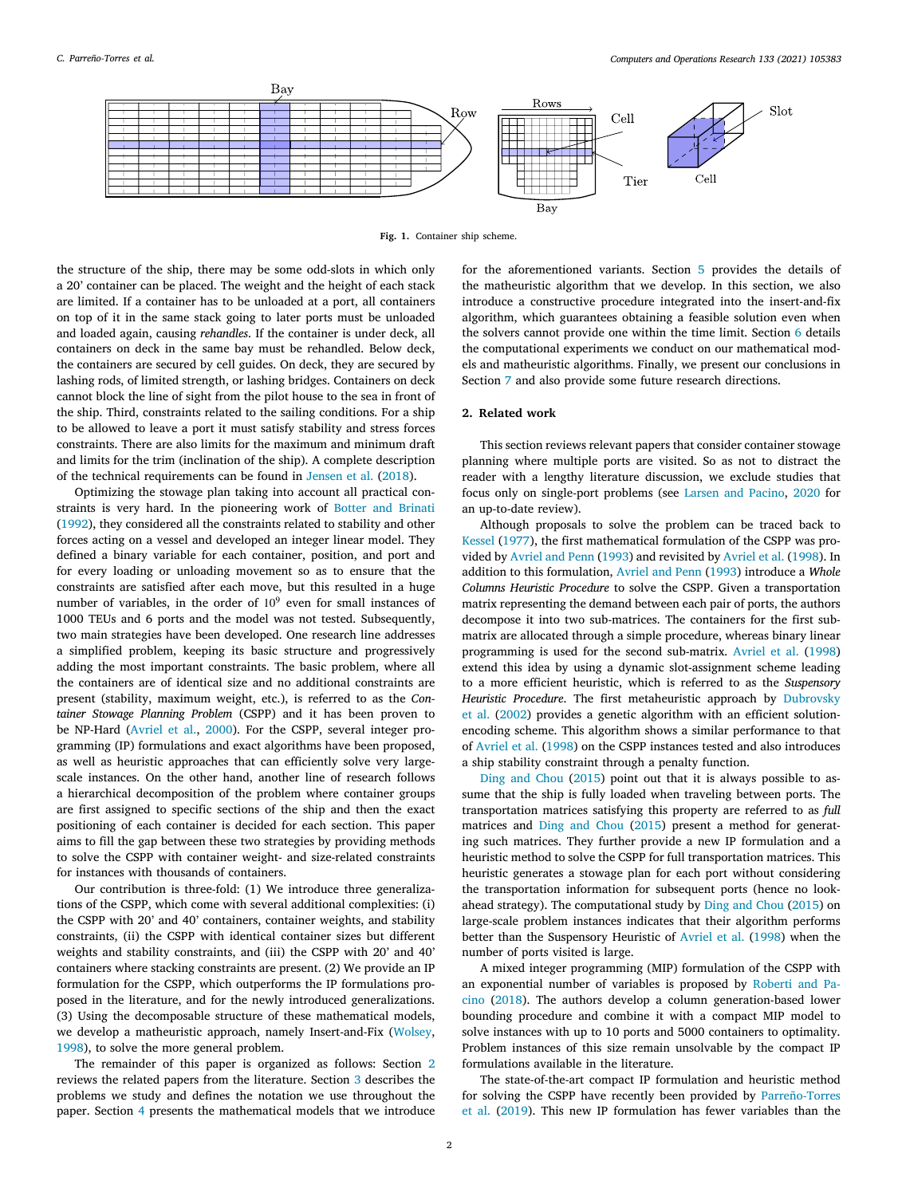

**Fig. 1.** Container ship scheme.

<span id="page-1-0"></span>the structure of the ship, there may be some odd-slots in which only a 20' container can be placed. The weight and the height of each stack are limited. If a container has to be unloaded at a port, all containers on top of it in the same stack going to later ports must be unloaded and loaded again, causing *rehandles*. If the container is under deck, all containers on deck in the same bay must be rehandled. Below deck, the containers are secured by cell guides. On deck, they are secured by lashing rods, of limited strength, or lashing bridges. Containers on deck cannot block the line of sight from the pilot house to the sea in front of the ship. Third, constraints related to the sailing conditions. For a ship to be allowed to leave a port it must satisfy stability and stress forces constraints. There are also limits for the maximum and minimum draft and limits for the trim (inclination of the ship). A complete description of the technical requirements can be found in [Jensen et al.](#page-13-2) ([2018\)](#page-13-2).

Optimizing the stowage plan taking into account all practical constraints is very hard. In the pioneering work of [Botter and Brinati](#page-13-3) ([1992\)](#page-13-3), they considered all the constraints related to stability and other forces acting on a vessel and developed an integer linear model. They defined a binary variable for each container, position, and port and for every loading or unloading movement so as to ensure that the constraints are satisfied after each move, but this resulted in a huge number of variables, in the order of 10<sup>9</sup> even for small instances of 1000 TEUs and 6 ports and the model was not tested. Subsequently, two main strategies have been developed. One research line addresses a simplified problem, keeping its basic structure and progressively adding the most important constraints. The basic problem, where all the containers are of identical size and no additional constraints are present (stability, maximum weight, etc.), is referred to as the *Container Stowage Planning Problem* (CSPP) and it has been proven to be NP-Hard ([Avriel et al.](#page-13-4), [2000](#page-13-4)). For the CSPP, several integer programming (IP) formulations and exact algorithms have been proposed, as well as heuristic approaches that can efficiently solve very largescale instances. On the other hand, another line of research follows a hierarchical decomposition of the problem where container groups are first assigned to specific sections of the ship and then the exact positioning of each container is decided for each section. This paper aims to fill the gap between these two strategies by providing methods to solve the CSPP with container weight- and size-related constraints for instances with thousands of containers.

Our contribution is three-fold: (1) We introduce three generalizations of the CSPP, which come with several additional complexities: (i) the CSPP with 20' and 40' containers, container weights, and stability constraints, (ii) the CSPP with identical container sizes but different weights and stability constraints, and (iii) the CSPP with 20' and 40' containers where stacking constraints are present. (2) We provide an IP formulation for the CSPP, which outperforms the IP formulations proposed in the literature, and for the newly introduced generalizations. (3) Using the decomposable structure of these mathematical models, we develop a matheuristic approach, namely Insert-and-Fix ([Wolsey](#page-13-5), [1998\)](#page-13-5), to solve the more general problem.

The remainder of this paper is organized as follows: Section [2](#page-1-1) reviews the related papers from the literature. Section [3](#page-2-0) describes the problems we study and defines the notation we use throughout the paper. Section [4](#page-2-1) presents the mathematical models that we introduce

for the aforementioned variants. Section [5](#page-5-0) provides the details of the matheuristic algorithm that we develop. In this section, we also introduce a constructive procedure integrated into the insert-and-fix algorithm, which guarantees obtaining a feasible solution even when the solvers cannot provide one within the time limit. Section [6](#page-8-0) details the computational experiments we conduct on our mathematical models and matheuristic algorithms. Finally, we present our conclusions in Section [7](#page-12-0) and also provide some future research directions.

## **2. Related work**

<span id="page-1-1"></span>This section reviews relevant papers that consider container stowage planning where multiple ports are visited. So as not to distract the reader with a lengthy literature discussion, we exclude studies that focus only on single-port problems (see [Larsen and Pacino,](#page-13-6) [2020](#page-13-6) for an up-to-date review).

Although proposals to solve the problem can be traced back to [Kessel](#page-13-7) ([1977\)](#page-13-7), the first mathematical formulation of the CSPP was provided by [Avriel and Penn](#page-13-8) [\(1993](#page-13-8)) and revisited by [Avriel et al.](#page-13-9) [\(1998](#page-13-9)). In addition to this formulation, [Avriel and Penn](#page-13-8) ([1993\)](#page-13-8) introduce a *Whole Columns Heuristic Procedure* to solve the CSPP. Given a transportation matrix representing the demand between each pair of ports, the authors decompose it into two sub-matrices. The containers for the first submatrix are allocated through a simple procedure, whereas binary linear programming is used for the second sub-matrix. [Avriel et al.](#page-13-9) ([1998\)](#page-13-9) extend this idea by using a dynamic slot-assignment scheme leading to a more efficient heuristic, which is referred to as the *Suspensory Heuristic Procedure*. The first metaheuristic approach by [Dubrovsky](#page-13-10) [et al.](#page-13-10) ([2002\)](#page-13-10) provides a genetic algorithm with an efficient solutionencoding scheme. This algorithm shows a similar performance to that of [Avriel et al.](#page-13-9) ([1998\)](#page-13-9) on the CSPP instances tested and also introduces a ship stability constraint through a penalty function.

[Ding and Chou](#page-13-11) [\(2015](#page-13-11)) point out that it is always possible to assume that the ship is fully loaded when traveling between ports. The transportation matrices satisfying this property are referred to as *full* matrices and [Ding and Chou](#page-13-11) ([2015\)](#page-13-11) present a method for generating such matrices. They further provide a new IP formulation and a heuristic method to solve the CSPP for full transportation matrices. This heuristic generates a stowage plan for each port without considering the transportation information for subsequent ports (hence no lookahead strategy). The computational study by [Ding and Chou](#page-13-11) ([2015](#page-13-11)) on large-scale problem instances indicates that their algorithm performs better than the Suspensory Heuristic of [Avriel et al.](#page-13-9) ([1998\)](#page-13-9) when the number of ports visited is large.

A mixed integer programming (MIP) formulation of the CSPP with an exponential number of variables is proposed by [Roberti and Pa](#page-13-12)[cino](#page-13-12) ([2018\)](#page-13-12). The authors develop a column generation-based lower bounding procedure and combine it with a compact MIP model to solve instances with up to 10 ports and 5000 containers to optimality. Problem instances of this size remain unsolvable by the compact IP formulations available in the literature.

The state-of-the-art compact IP formulation and heuristic method for solving the CSPP have recently been provided by [Parreño-Torres](#page-13-1) [et al.](#page-13-1) [\(2019](#page-13-1)). This new IP formulation has fewer variables than the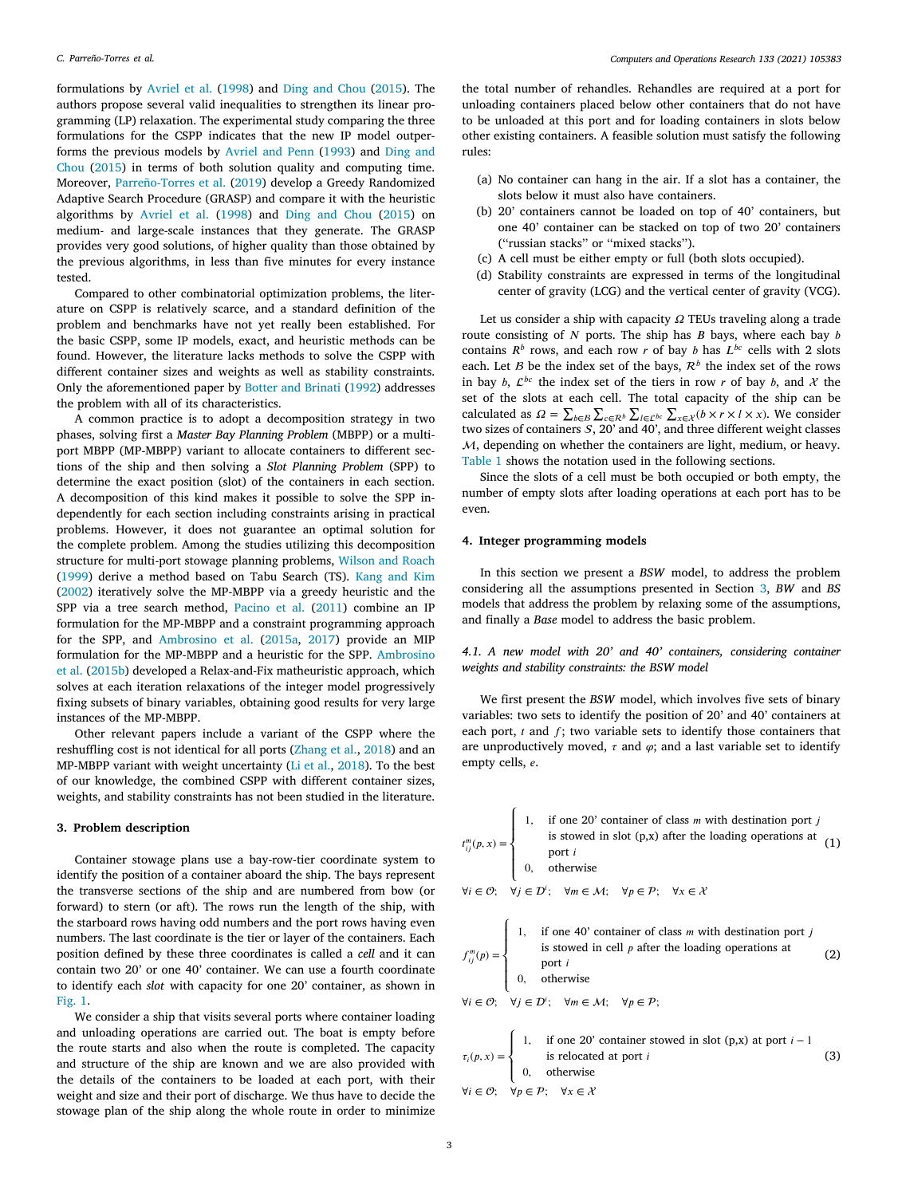formulations by [Avriel et al.](#page-13-9) [\(1998](#page-13-9)) and [Ding and Chou](#page-13-11) ([2015\)](#page-13-11). The authors propose several valid inequalities to strengthen its linear programming (LP) relaxation. The experimental study comparing the three formulations for the CSPP indicates that the new IP model outperforms the previous models by [Avriel and Penn](#page-13-8) ([1993\)](#page-13-8) and [Ding and](#page-13-11) [Chou](#page-13-11) ([2015\)](#page-13-11) in terms of both solution quality and computing time. Moreover, [Parreño-Torres et al.](#page-13-1) ([2019\)](#page-13-1) develop a Greedy Randomized Adaptive Search Procedure (GRASP) and compare it with the heuristic algorithms by [Avriel et al.](#page-13-9) [\(1998](#page-13-9)) and [Ding and Chou](#page-13-11) [\(2015](#page-13-11)) on medium- and large-scale instances that they generate. The GRASP provides very good solutions, of higher quality than those obtained by the previous algorithms, in less than five minutes for every instance tested.

Compared to other combinatorial optimization problems, the literature on CSPP is relatively scarce, and a standard definition of the problem and benchmarks have not yet really been established. For the basic CSPP, some IP models, exact, and heuristic methods can be found. However, the literature lacks methods to solve the CSPP with different container sizes and weights as well as stability constraints. Only the aforementioned paper by [Botter and Brinati](#page-13-3) ([1992\)](#page-13-3) addresses the problem with all of its characteristics.

A common practice is to adopt a decomposition strategy in two phases, solving first a *Master Bay Planning Problem* (MBPP) or a multiport MBPP (MP-MBPP) variant to allocate containers to different sections of the ship and then solving a *Slot Planning Problem* (SPP) to determine the exact position (slot) of the containers in each section. A decomposition of this kind makes it possible to solve the SPP independently for each section including constraints arising in practical problems. However, it does not guarantee an optimal solution for the complete problem. Among the studies utilizing this decomposition structure for multi-port stowage planning problems, [Wilson and Roach](#page-13-13) ([1999\)](#page-13-13) derive a method based on Tabu Search (TS). [Kang and Kim](#page-13-14) ([2002\)](#page-13-14) iteratively solve the MP-MBPP via a greedy heuristic and the SPP via a tree search method, [Pacino et al.](#page-13-15) ([2011\)](#page-13-15) combine an IP formulation for the MP-MBPP and a constraint programming approach for the SPP, and [Ambrosino et al.](#page-13-16) ([2015a,](#page-13-16) [2017](#page-13-17)) provide an MIP formulation for the MP-MBPP and a heuristic for the SPP. [Ambrosino](#page-13-18) [et al.](#page-13-18) [\(2015b\)](#page-13-18) developed a Relax-and-Fix matheuristic approach, which solves at each iteration relaxations of the integer model progressively fixing subsets of binary variables, obtaining good results for very large instances of the MP-MBPP.

Other relevant papers include a variant of the CSPP where the reshuffling cost is not identical for all ports [\(Zhang et al.,](#page-13-19) [2018](#page-13-19)) and an MP-MBPP variant with weight uncertainty ([Li et al.](#page-13-20), [2018\)](#page-13-20). To the best of our knowledge, the combined CSPP with different container sizes, weights, and stability constraints has not been studied in the literature.

## **3. Problem description**

<span id="page-2-0"></span>Container stowage plans use a bay-row-tier coordinate system to identify the position of a container aboard the ship. The bays represent the transverse sections of the ship and are numbered from bow (or forward) to stern (or aft). The rows run the length of the ship, with the starboard rows having odd numbers and the port rows having even numbers. The last coordinate is the tier or layer of the containers. Each position defined by these three coordinates is called a *cell* and it can contain two 20' or one 40' container. We can use a fourth coordinate to identify each *slot* with capacity for one 20' container, as shown in [Fig.](#page-1-0) [1.](#page-1-0)

We consider a ship that visits several ports where container loading and unloading operations are carried out. The boat is empty before the route starts and also when the route is completed. The capacity and structure of the ship are known and we are also provided with the details of the containers to be loaded at each port, with their weight and size and their port of discharge. We thus have to decide the stowage plan of the ship along the whole route in order to minimize

the total number of rehandles. Rehandles are required at a port for unloading containers placed below other containers that do not have to be unloaded at this port and for loading containers in slots below other existing containers. A feasible solution must satisfy the following rules:

- (a) No container can hang in the air. If a slot has a container, the slots below it must also have containers.
- (b) 20' containers cannot be loaded on top of 40' containers, but one 40' container can be stacked on top of two 20' containers (''russian stacks'' or ''mixed stacks'').
- (c) A cell must be either empty or full (both slots occupied).
- (d) Stability constraints are expressed in terms of the longitudinal center of gravity (LCG) and the vertical center of gravity (VCG).

Let us consider a ship with capacity  $\Omega$  TEUs traveling along a trade route consisting of  $N$  ports. The ship has  $B$  bays, where each bay  $b$ contains  $R^b$  rows, and each row r of bay b has  $L^{bc}$  cells with 2 slots each. Let  $B$  be the index set of the bays,  $\mathcal{R}^b$  the index set of the rows in bay  $b$ ,  $\mathcal{L}^{bc}$  the index set of the tiers in row r of bay  $b$ , and  $\mathcal{X}$  the set of the slots at each cell. The total capacity of the ship can be calculated as  $\Omega = \sum_{b \in B} \sum_{c \in R^b} \sum_{l \in \mathcal{L}^{bc}} \sum_{x \in \mathcal{X}} (b \times r \times l \times x)$ . We consider two sizes of containers  $S$ , 20' and 40', and three different weight classes  $M$ , depending on whether the containers are light, medium, or heavy. [Table](#page-3-0) [1](#page-3-0) shows the notation used in the following sections.

Since the slots of a cell must be both occupied or both empty, the number of empty slots after loading operations at each port has to be even.

## **4. Integer programming models**

<span id="page-2-1"></span>In this section we present a *BSW* model, to address the problem considering all the assumptions presented in Section [3,](#page-2-0) *BW* and *BS* models that address the problem by relaxing some of the assumptions, and finally a *Base* model to address the basic problem.

*4.1. A new model with 20' and 40' containers, considering container weights and stability constraints: the BSW model*

We first present the *BSW* model, which involves five sets of binary variables: two sets to identify the position of 20' and 40' containers at each port,  $t$  and  $f$ ; two variable sets to identify those containers that are unproductively moved,  $\tau$  and  $\varphi$ ; and a last variable set to identify empty cells, e.

$$
t_{ij}^{m}(p, x) = \begin{cases} 1, & \text{if one 20' container of class } m \text{ with destination port } j \\ & \text{is stowed in slot (p,x) after the loading operations at} \\ & \text{port } i \\ 0, & \text{otherwise} \end{cases} \tag{1}
$$

 $\forall i \in \mathcal{O}; \quad \forall j \in \mathcal{D}^i; \quad \forall m \in \mathcal{M}; \quad \forall p \in \mathcal{P}; \quad \forall x \in \mathcal{X}$ 

$$
f_{ij}^{m}(p) = \begin{cases} 1, & \text{if one 40' container of class } m \text{ with destination port } j \\ & \text{is stored in cell } p \text{ after the loading operations at} \\ & \text{port } i \\ 0, & \text{otherwise} \end{cases} \tag{2}
$$

 $\forall i \in \mathcal{O}; \quad \forall j \in \mathcal{D}^i; \quad \forall m \in \mathcal{M}; \quad \forall p \in \mathcal{P};$ 

$$
\tau_i(p, x) = \begin{cases}\n1, & \text{if one 20' container showed in slot (p, x) at port } i - 1 \\
& \text{is relocated at port } i \\
0, & \text{otherwise}\n\end{cases}\n\tag{3}
$$
\n
$$
\forall i \in \mathcal{O}; \quad \forall p \in \mathcal{P}; \quad \forall x \in \mathcal{X}
$$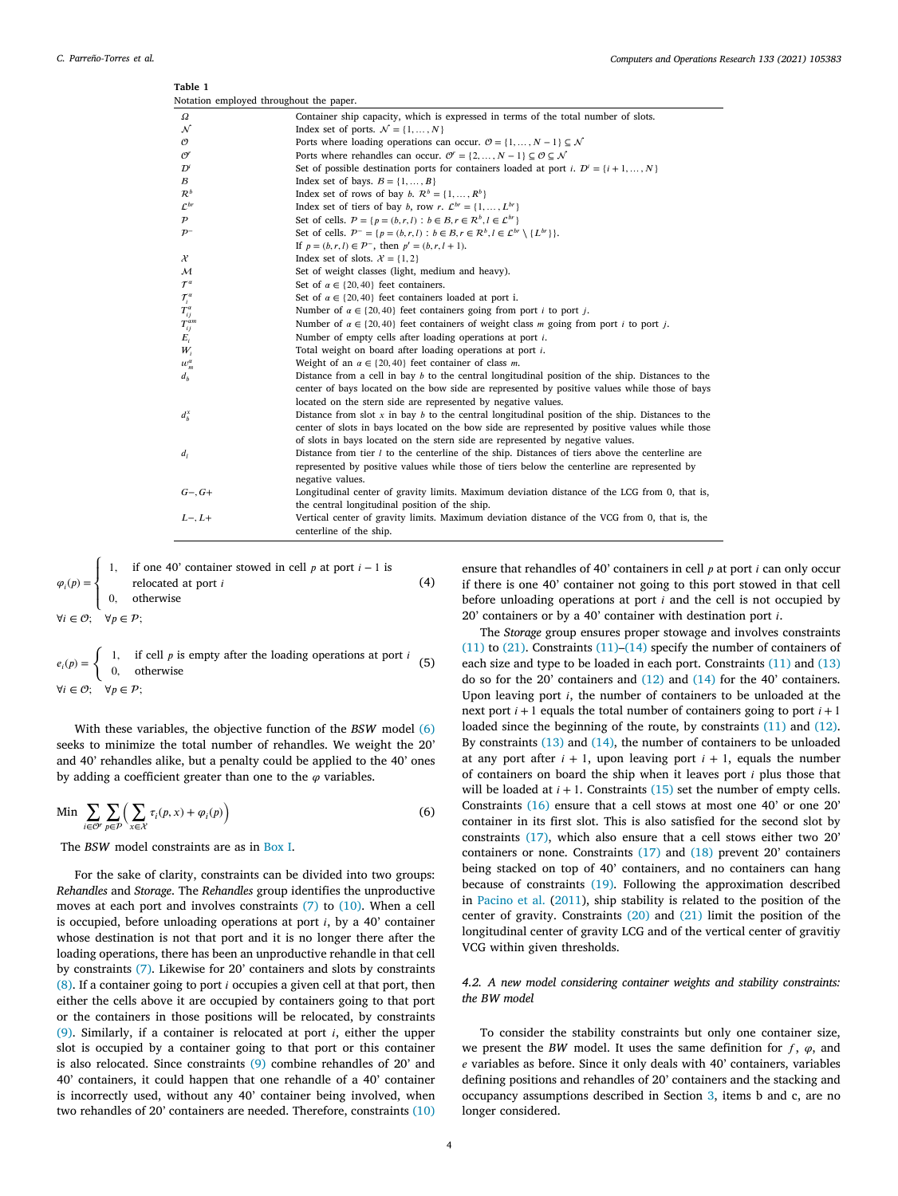<span id="page-3-0"></span>

| ravie 1<br>Notation employed throughout the paper. |                                                                                                                                |
|----------------------------------------------------|--------------------------------------------------------------------------------------------------------------------------------|
| Ω                                                  | Container ship capacity, which is expressed in terms of the total number of slots.                                             |
| ${\cal N}$                                         | Index set of ports. $\mathcal{N} = \{1, , N\}$                                                                                 |
| O                                                  | Ports where loading operations can occur. $\mathcal{O} = \{1, , N - 1\} \subseteq \mathcal{N}$                                 |
| $\mathcal{O}^r$                                    | Ports where rehandles can occur. $\mathcal{O}^r = \{2, , N - 1\} \subseteq \mathcal{O} \subseteq \mathcal{N}$                  |
| $\mathcal{D}^i$                                    | Set of possible destination ports for containers loaded at port <i>i</i> . $D^i = \{i+1, , N\}$                                |
| $\mathcal{B}$                                      | Index set of bays. $B = \{1, , B\}$                                                                                            |
| $\mathcal{R}^b$                                    | Index set of rows of bay b. $\mathcal{R}^b = \{1, , R^b\}$                                                                     |
| $\mathcal{L}^{br}$                                 | Index set of tiers of bay b, row r. $\mathcal{L}^{br} = \{1, , L^{br}\}\$                                                      |
| $\cal P$                                           | Set of cells. $P = \{p = (b, r, l) : b \in B, r \in \mathbb{R}^b, l \in \mathcal{L}^{br}\}\$                                   |
| $\mathcal{P}^-$                                    | Set of cells. $P^- = \{p = (b, r, l) : b \in \mathcal{B}, r \in \mathcal{R}^b, l \in \mathcal{L}^{br} \setminus \{L^{br}\}\}.$ |
|                                                    | If $p = (b, r, l) \in \mathcal{P}^-$ , then $p' = (b, r, l + 1)$ .                                                             |
| $\mathcal{X}$                                      | Index set of slots. $\mathcal{X} = \{1, 2\}$                                                                                   |
| ${\cal M}$                                         | Set of weight classes (light, medium and heavy).                                                                               |
| $\mathcal{T}^{\alpha}$                             | Set of $\alpha \in \{20, 40\}$ feet containers.                                                                                |
| $\mathcal{T}^{\alpha}_i$                           | Set of $\alpha \in \{20, 40\}$ feet containers loaded at port i.                                                               |
| $T^{\alpha}_{ij}$                                  | Number of $\alpha \in \{20, 40\}$ feet containers going from port <i>i</i> to port <i>j</i> .                                  |
| $T_{ij}^{am}$                                      | Number of $\alpha \in \{20, 40\}$ feet containers of weight class <i>m</i> going from port <i>i</i> to port <i>j</i> .         |
| $E_i$                                              | Number of empty cells after loading operations at port $i$ .                                                                   |
| $W_i$                                              | Total weight on board after loading operations at port <i>i</i> .                                                              |
| $w_{\scriptscriptstyle m}^{\scriptscriptstyle a}$  | Weight of an $\alpha \in \{20, 40\}$ feet container of class <i>m</i> .                                                        |
| $d_h$                                              | Distance from a cell in bay $b$ to the central longitudinal position of the ship. Distances to the                             |
|                                                    | center of bays located on the bow side are represented by positive values while those of bays                                  |
|                                                    | located on the stern side are represented by negative values.                                                                  |
| $d_h^x$                                            | Distance from slot $x$ in bay $b$ to the central longitudinal position of the ship. Distances to the                           |
|                                                    | center of slots in bays located on the bow side are represented by positive values while those                                 |
|                                                    | of slots in bays located on the stern side are represented by negative values.                                                 |
| $d_I$                                              | Distance from tier $l$ to the centerline of the ship. Distances of tiers above the centerline are                              |
|                                                    | represented by positive values while those of tiers below the centerline are represented by                                    |
|                                                    | negative values.                                                                                                               |
| $G-, G+$                                           | Longitudinal center of gravity limits. Maximum deviation distance of the LCG from 0, that is,                                  |
|                                                    | the central longitudinal position of the ship.                                                                                 |
| $L-, L+$                                           | Vertical center of gravity limits. Maximum deviation distance of the VCG from 0, that is, the                                  |
|                                                    | centerline of the ship.                                                                                                        |
|                                                    |                                                                                                                                |

$$
\varphi_i(p) = \begin{cases}\n1, & \text{if one 40' container showed in cell } p \text{ at port } i - 1 \text{ is} \\
0, & \text{otherwise}\n\end{cases}
$$
\n
$$
\forall i \in \mathcal{O}; \quad \forall p \in \mathcal{P};
$$
\n(4)

 $e_i(p) = \begin{cases} 1, & \text{if cell } p \text{ is empty after the loading operations at port } i \\ 0, & \text{otherwise} \end{cases}$  (5)  $\forall i \in \mathcal{O}; \quad \forall p \in \mathcal{P}$ 

With these variables, the objective function of the *BSW* model [\(6\)](#page-3-1) seeks to minimize the total number of rehandles. We weight the 20' and 40' rehandles alike, but a penalty could be applied to the 40' ones by adding a coefficient greater than one to the  $\varphi$  variables.

Min 
$$
\sum_{i \in \mathcal{O}^r} \sum_{p \in \mathcal{P}} \left( \sum_{x \in \mathcal{X}} \tau_i(p, x) + \varphi_i(p) \right)
$$
 (6)

The *BSW* model constraints are as in [Box](#page-4-0) [I.](#page-4-0)

For the sake of clarity, constraints can be divided into two groups: *Rehandles* and *Storage*. The *Rehandles* group identifies the unproductive moves at each port and involves constraints ([7](#page-4-1)) to ([10\)](#page-4-2). When a cell is occupied, before unloading operations at port  $i$ , by a 40' container whose destination is not that port and it is no longer there after the loading operations, there has been an unproductive rehandle in that cell by constraints [\(7\)](#page-4-1). Likewise for 20' containers and slots by constraints  $(8)$  $(8)$  $(8)$ . If a container going to port *i* occupies a given cell at that port, then either the cells above it are occupied by containers going to that port or the containers in those positions will be relocated, by constraints ([9](#page-4-4)). Similarly, if a container is relocated at port  $i$ , either the upper slot is occupied by a container going to that port or this container is also relocated. Since constraints ([9\)](#page-4-4) combine rehandles of 20' and 40' containers, it could happen that one rehandle of a 40' container is incorrectly used, without any 40' container being involved, when two rehandles of 20' containers are needed. Therefore, constraints ([10\)](#page-4-2) ensure that rehandles of 40' containers in cell  $p$  at port  $i$  can only occur if there is one 40' container not going to this port stowed in that cell before unloading operations at port  $i$  and the cell is not occupied by  $20'$  containers or by a 40' container with destination port  $i$ .

The *Storage* group ensures proper stowage and involves constraints ([11\)](#page-4-5) to ([21\)](#page-4-6). Constraints ([11](#page-4-5))–[\(14](#page-4-7)) specify the number of containers of each size and type to be loaded in each port. Constraints ([11\)](#page-4-5) and ([13\)](#page-4-8) do so for the 20' containers and ([12\)](#page-4-9) and ([14\)](#page-4-7) for the 40' containers. Upon leaving port  $i$ , the number of containers to be unloaded at the next port  $i + 1$  equals the total number of containers going to port  $i + 1$ loaded since the beginning of the route, by constraints ([11\)](#page-4-5) and [\(12](#page-4-9)). By constraints [\(13](#page-4-8)) and [\(14](#page-4-7)), the number of containers to be unloaded at any port after  $i + 1$ , upon leaving port  $i + 1$ , equals the number of containers on board the ship when it leaves port  $i$  plus those that will be loaded at  $i + 1$ . Constraints ([15\)](#page-4-10) set the number of empty cells. Constraints ([16\)](#page-4-11) ensure that a cell stows at most one 40' or one 20' container in its first slot. This is also satisfied for the second slot by constraints ([17\)](#page-4-12), which also ensure that a cell stows either two 20' containers or none. Constraints [\(17](#page-4-12)) and [\(18](#page-4-13)) prevent 20' containers being stacked on top of 40' containers, and no containers can hang because of constraints [\(19](#page-4-14)). Following the approximation described in [Pacino et al.](#page-13-15) [\(2011\)](#page-13-15), ship stability is related to the position of the center of gravity. Constraints ([20\)](#page-4-15) and ([21\)](#page-4-6) limit the position of the longitudinal center of gravity LCG and of the vertical center of gravitiy VCG within given thresholds.

## <span id="page-3-1"></span>*4.2. A new model considering container weights and stability constraints: the BW model*

To consider the stability constraints but only one container size, we present the *BW* model. It uses the same definition for  $f$ ,  $\varphi$ , and  $e$  variables as before. Since it only deals with 40' containers, variables defining positions and rehandles of 20' containers and the stacking and occupancy assumptions described in Section [3,](#page-2-0) items b and c, are no longer considered.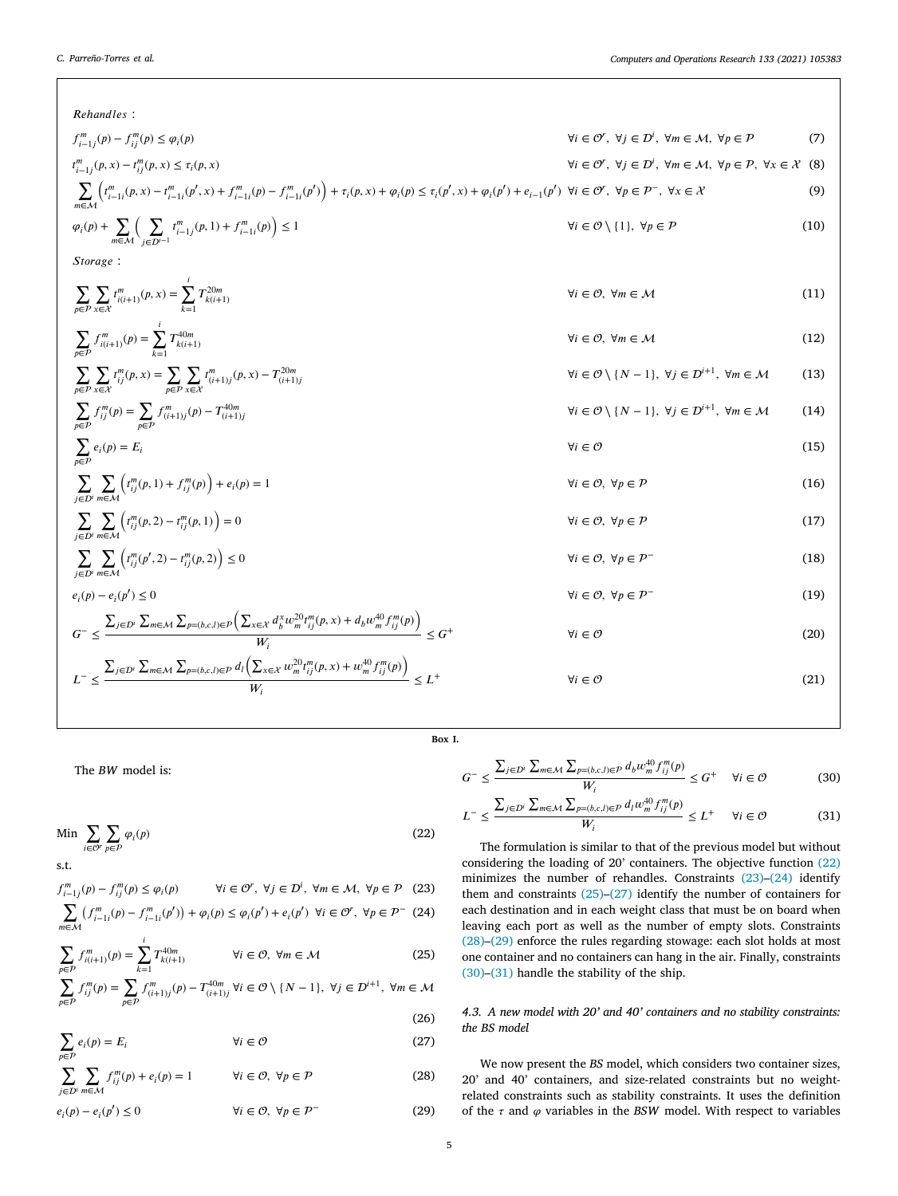| Rehandles:                                                                                                                                                                                                                                                              |                                                                                                                                                         |      |
|-------------------------------------------------------------------------------------------------------------------------------------------------------------------------------------------------------------------------------------------------------------------------|---------------------------------------------------------------------------------------------------------------------------------------------------------|------|
| $f_{i-1}^m(p) - f_{ii}^m(p) \leq \varphi_i(p)$                                                                                                                                                                                                                          | $\forall i \in \mathcal{O}^r, \ \forall j \in \mathcal{D}^i, \ \forall m \in \mathcal{M}, \ \forall p \in \mathcal{P}$                                  | (7)  |
| $t_{i-1,i}^m(p, x) - t_{ii}^m(p, x) \leq \tau_i(p, x)$                                                                                                                                                                                                                  | $\forall i \in \mathcal{O}^r, \ \forall j \in \mathcal{D}^i, \ \forall m \in \mathcal{M}, \ \forall p \in \mathcal{P}, \ \forall x \in \mathcal{X}$ (8) |      |
| $\sum_{i} \left( t_{i-1i}^m(p,x) - t_{i-1i}^m(p',x) + f_{i-1i}^m(p) - f_{i-1i}^m(p') \right) + \tau_i(p,x) + \varphi_i(p) \leq \tau_i(p',x) + \varphi_i(p') + e_{i-1}(p') \quad \forall i \in \mathcal{O}^r, \ \forall p \in \mathcal{P}^-,\ \forall x \in \mathcal{X}$ |                                                                                                                                                         | (9)  |
| $\varphi_i(p) + \sum_{m \in \mathcal{M}} \Big( \sum_{i \in \mathcal{D}} t^m_{i-1j}(p, 1) + f^m_{i-1i}(p) \Big) \leq 1$                                                                                                                                                  | $\forall i \in \mathcal{O} \setminus \{1\}, \ \forall p \in \mathcal{P}$                                                                                | (10) |
| Storage:                                                                                                                                                                                                                                                                |                                                                                                                                                         |      |
| $\sum_{p \in \mathcal{P}} \sum_{x \in \mathcal{X}} t^{m}_{i(i+1)}(p, x) = \sum_{i=1}^{i} T^{20m}_{k(i+1)}$                                                                                                                                                              | $\forall i \in \mathcal{O}, \forall m \in \mathcal{M}$                                                                                                  | (11) |
| $\sum_{i \in \mathcal{D}} f_{i(i+1)}^m(p) = \sum T_{k(i+1)}^{40m}$                                                                                                                                                                                                      | $\forall i \in \mathcal{O}, \forall m \in \mathcal{M}$                                                                                                  | (12) |
| $\sum_{n\in\mathcal{D}}\sum_{x\in\mathcal{X}}t_{ij}^m(p,x)=\sum_{n\in\mathcal{D}}\sum_{x\in\mathcal{X}}t_{(i+1)j}^m(p,x)-T_{(i+1)j}^{20m}$                                                                                                                              | $\forall i \in \mathcal{O} \setminus \{N-1\}, \ \forall j \in \mathcal{D}^{i+1}, \ \forall m \in \mathcal{M}$                                           | (13) |
| $\sum_{n\in\mathcal{D}}f_{ij}^m(p)=\sum_{n\in\mathcal{D}}f_{(i+1)j}^m(p)-T_{(i+1)j}^{40m}$                                                                                                                                                                              | $\forall i \in \mathcal{O} \setminus \{N-1\}, \ \forall j \in \mathcal{D}^{i+1}, \ \forall m \in \mathcal{M}$                                           | (14) |
| $\sum_{p \in \mathcal{P}} e_i(p) = E_i$                                                                                                                                                                                                                                 | $\forall i \in \mathcal{O}$                                                                                                                             | (15) |
| $\sum_{i \in \mathcal{D}} \sum_{m \in M} \left( t_{ij}^{m}(p, 1) + f_{ij}^{m}(p) \right) + e_i(p) = 1$                                                                                                                                                                  | $\forall i \in \mathcal{O}, \forall p \in \mathcal{P}$                                                                                                  | (16) |
| $\sum_{i \in \mathcal{D}^i} \sum_{m \in \mathcal{M}} \left( t_{ij}^m(p, 2) - t_{ij}^m(p, 1) \right) = 0$                                                                                                                                                                | $\forall i \in \mathcal{O}, \forall p \in \mathcal{P}$                                                                                                  | (17) |
| $\sum_{i \in \mathcal{D}^i} \sum_{m \in \mathcal{M}} \left( t_{ij}^m(p', 2) - t_{ij}^m(p, 2) \right) \leq 0$                                                                                                                                                            | $\forall i \in \mathcal{O}, \forall p \in \mathcal{P}^-$                                                                                                | (18) |
| $e_i(p) - e_i(p') \le 0$                                                                                                                                                                                                                                                | $\forall i \in \mathcal{O}, \forall p \in \mathcal{P}^-$                                                                                                | (19) |
| $G^- \leq \frac{\sum_{j\in\mathcal{D}^i}\sum_{m\in\mathcal{M}}\sum_{p=(b,c,l)\in\mathcal{P}}\Big(\sum_{x\in\mathcal{X}}d^x_bw_m^{20}t_{ij}^m(p,x)+d_bw_m^{40}f_{ij}^m(p)\Big)}{W} \leq G^+$                                                                             | $\forall i \in \mathcal{O}$                                                                                                                             | (20) |
| $L^{-} \leq \frac{\sum_{j \in \mathcal{D}^i} \sum_{m \in \mathcal{M}} \sum_{p=(b,c,l) \in \mathcal{P}} d_{l} \left( \sum_{x \in \mathcal{X}} w_m^{20} t_{ij}^m(p,x) + w_m^{40} f_{ij}^m(p) \right)}{W} \leq L^{+}$                                                      | $\forall i \in \mathcal{O}$                                                                                                                             | (21) |

## <span id="page-4-4"></span><span id="page-4-3"></span><span id="page-4-2"></span><span id="page-4-1"></span>**Box I.**

<span id="page-4-0"></span>The *BW* model is:

$$
\text{Min} \sum_{i \in \mathcal{O}^r} \sum_{p \in \mathcal{P}} \varphi_i(p) \tag{22}
$$

s.t.

$$
f_{i-1j}^m(p) - f_{ij}^m(p) \le \varphi_i(p) \qquad \forall i \in \mathcal{O}^r, \ \forall j \in \mathcal{D}^j, \ \forall m \in \mathcal{M}, \ \forall p \in \mathcal{P} \tag{23}
$$

$$
\sum_{m \in \mathcal{M}} \left( f_{i-1i}^m(p) - f_{i-1i}^m(p') \right) + \varphi_i(p) \le \varphi_i(p') + e_i(p') \ \forall i \in \mathcal{O}^r, \ \forall p \in \mathcal{P}^- \tag{24}
$$

$$
\sum_{p \in P} f_{i(i+1)}^m(p) = \sum_{k=1}^i T_{k(i+1)}^{40m} \qquad \forall i \in \mathcal{O}, \ \forall m \in \mathcal{M}
$$
 (25)

$$
\sum_{p \in \mathcal{P}} f_{ij}^{m}(p) = \sum_{p \in \mathcal{P}} f_{(i+1)j}^{m}(p) - T_{(i+1)j}^{40m} \,\forall i \in \mathcal{O} \setminus \{N-1\}, \,\forall j \in \mathcal{D}^{i+1}, \,\forall m \in \mathcal{M}
$$

$$
\sum_{p \in P} e_i(p) = E_i \qquad \forall i \in \mathcal{O} \tag{25}
$$

$$
\sum_{j \in \mathcal{D}^i} \sum_{m \in \mathcal{M}} f_{ij}^m(p) + e_i(p) = 1 \qquad \forall i \in \mathcal{O}, \ \forall p \in \mathcal{P}
$$
 (28)

$$
e_i(p) - e_i(p') \le 0 \qquad \qquad \forall i \in \mathcal{O}, \ \forall p \in \mathcal{P}^- \tag{29}
$$

<span id="page-4-15"></span><span id="page-4-14"></span><span id="page-4-13"></span><span id="page-4-12"></span><span id="page-4-11"></span><span id="page-4-10"></span><span id="page-4-9"></span><span id="page-4-8"></span><span id="page-4-7"></span><span id="page-4-6"></span><span id="page-4-5"></span>
$$
G^{-} \leq \frac{\sum_{j \in \mathcal{D}^i} \sum_{m \in \mathcal{M}} \sum_{p=(b,c,l) \in \mathcal{P}} d_b w_m^{40} f_{ij}^m(p)}{W_i} \leq G^{+} \quad \forall i \in \mathcal{O}
$$
 (30)

<span id="page-4-24"></span><span id="page-4-23"></span>
$$
L^{-} \leq \frac{\sum_{j \in D'} \sum_{m \in \mathcal{M}} \sum_{p=(b,c,l) \in \mathcal{P}} d_{l} w_{m}^{40} f_{ij}^{m}(p)}{W_{i}} \leq L^{+} \quad \forall i \in \mathcal{O}
$$
 (31)

<span id="page-4-18"></span><span id="page-4-17"></span><span id="page-4-16"></span>The formulation is similar to that of the previous model but without considering the loading of 20' containers. The objective function ([22\)](#page-4-16) minimizes the number of rehandles. Constraints ([23\)](#page-4-17)–([24\)](#page-4-18) identify them and constraints ([25\)](#page-4-19)–([27](#page-4-20)) identify the number of containers for each destination and in each weight class that must be on board when leaving each port as well as the number of empty slots. Constraints ([28\)](#page-4-21)–([29\)](#page-4-22) enforce the rules regarding stowage: each slot holds at most one container and no containers can hang in the air. Finally, constraints ([30\)](#page-4-23)–([31\)](#page-4-24) handle the stability of the ship.

## <span id="page-4-20"></span><span id="page-4-19"></span>*4.3. A new model with 20' and 40' containers and no stability constraints: the BS model*

<span id="page-4-22"></span><span id="page-4-21"></span>We now present the *BS* model, which considers two container sizes, 20' and 40' containers, and size-related constraints but no weightrelated constraints such as stability constraints. It uses the definition of the  $\tau$  and  $\varphi$  variables in the *BSW* model. With respect to variables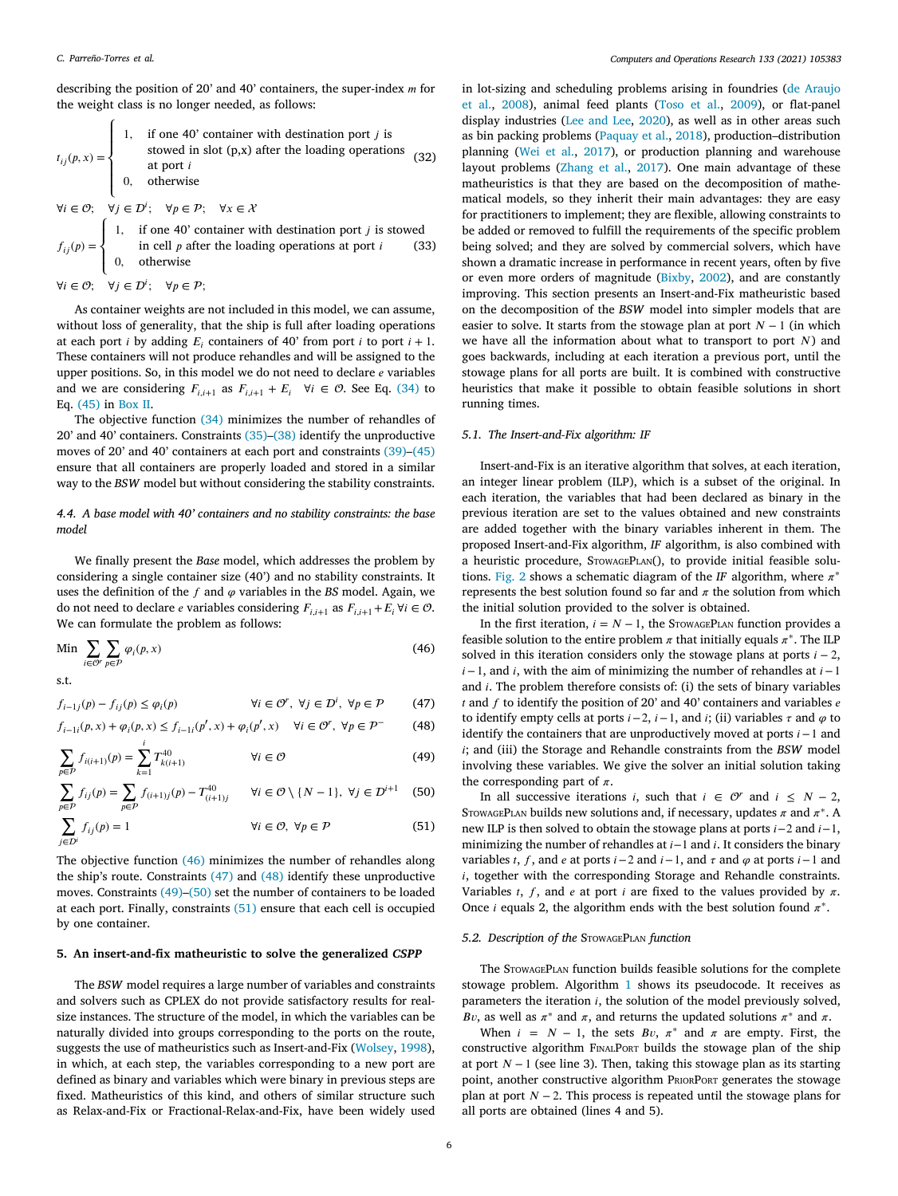describing the position of 20' and 40' containers, the super-index  $m$  for the weight class is no longer needed, as follows:

$$
t_{ij}(p, x) = \begin{cases} 1, & \text{if one 40' container with destination port } j \text{ isstowed in slot (p,x) after the loading operationsat port i0, otherwise \end{cases}
$$
(32)

 $\forall i \in \mathcal{O}; \quad \forall j \in \mathcal{D}^i; \quad \forall p \in \mathcal{P}; \quad \forall x \in \mathcal{X}$ 

 $f_{ij}(p) =$  $\begin{bmatrix} \frac{1}{\sqrt{2\pi}} & \frac{1}{\sqrt{2\pi}} \\ \frac{1}{\sqrt{2\pi}} & \frac{1}{\sqrt{2\pi}} \end{bmatrix}$ 1, if one 40' container with destination port  $j$  is stowed in cell  $p$  after the loading operations at port  $i$ 0*,* otherwise (33)

 $\forall i \in \mathcal{O}; \quad \forall j \in \mathcal{D}^i; \quad \forall p \in \mathcal{P};$ 

As container weights are not included in this model, we can assume, without loss of generality, that the ship is full after loading operations at each port *i* by adding  $E_i$  containers of 40' from port *i* to port *i* + 1. These containers will not produce rehandles and will be assigned to the upper positions. So, in this model we do not need to declare  $e$  variables and we are considering  $F_{i,i+1}$  as  $F_{i,i+1} + E_i \quad \forall i \in \mathcal{O}$ . See Eq. [\(34](#page-6-0)) to Eq. [\(45](#page-6-1)) in [Box](#page-6-2) [II.](#page-6-2)

The objective function [\(34](#page-6-0)) minimizes the number of rehandles of 20' and 40' containers. Constraints [\(35](#page-6-3))–[\(38](#page-6-4)) identify the unproductive moves of 20' and 40' containers at each port and constraints ([39\)](#page-6-5)–([45\)](#page-6-1) ensure that all containers are properly loaded and stored in a similar way to the *BSW* model but without considering the stability constraints.

*4.4. A base model with 40' containers and no stability constraints: the base model*

We finally present the *Base* model, which addresses the problem by considering a single container size (40') and no stability constraints. It uses the definition of the  $f$  and  $\varphi$  variables in the *BS* model. Again, we do not need to declare *e* variables considering  $F_{i,i+1}$  as  $F_{i,i+1} + E_i \forall i \in \mathcal{O}$ . We can formulate the problem as follows:

$$
\text{Min} \sum_{i \in \mathcal{O}^r} \sum_{p \in \mathcal{P}} \varphi_i(p, x) \tag{46}
$$

s.t.

$$
f_{i-1j}(p) - f_{ij}(p) \le \varphi_i(p) \qquad \qquad \forall i \in \mathcal{O}', \ \forall j \in \mathcal{D}^i, \ \forall p \in \mathcal{P} \tag{47}
$$

$$
f_{i-1i}(p,x) + \varphi_i(p,x) \le f_{i-1i}(p',x) + \varphi_i(p',x) \quad \forall i \in \mathcal{O}^r, \ \forall p \in \mathcal{P}^- \tag{48}
$$

$$
\sum_{p \in \mathcal{P}} f_{i(i+1)}(p) = \sum_{k=1}^{i} T_{k(i+1)}^{40} \qquad \forall i \in \mathcal{O}
$$
 (49)

$$
\sum_{p \in \mathcal{P}} f_{ij}(p) = \sum_{p \in \mathcal{P}} f_{(i+1)j}(p) - T_{(i+1)j}^{40} \qquad \forall i \in \mathcal{O} \setminus \{N-1\}, \ \forall j \in \mathcal{D}^{i+1} \tag{50}
$$

$$
\sum_{j \in D^i} f_{ij}(p) = 1 \qquad \qquad \forall i \in \mathcal{O}, \ \forall p \in \mathcal{P} \tag{51}
$$

The objective function ([46\)](#page-5-1) minimizes the number of rehandles along the ship's route. Constraints ([47\)](#page-5-2) and [\(48](#page-5-3)) identify these unproductive moves. Constraints [\(49](#page-5-4))–[\(50](#page-5-5)) set the number of containers to be loaded at each port. Finally, constraints [\(51](#page-5-6)) ensure that each cell is occupied by one container.

#### **5. An insert-and-fix matheuristic to solve the generalized** *CSPP*

<span id="page-5-0"></span>The *BSW* model requires a large number of variables and constraints and solvers such as CPLEX do not provide satisfactory results for realsize instances. The structure of the model, in which the variables can be naturally divided into groups corresponding to the ports on the route, suggests the use of matheuristics such as Insert-and-Fix ([Wolsey,](#page-13-5) [1998](#page-13-5)), in which, at each step, the variables corresponding to a new port are defined as binary and variables which were binary in previous steps are fixed. Matheuristics of this kind, and others of similar structure such as Relax-and-Fix or Fractional-Relax-and-Fix, have been widely used

in lot-sizing and scheduling problems arising in foundries [\(de Araujo](#page-13-21) [et al.](#page-13-21), [2008\)](#page-13-21), animal feed plants [\(Toso et al.,](#page-13-22) [2009\)](#page-13-22), or flat-panel display industries [\(Lee and Lee,](#page-13-23) [2020\)](#page-13-23), as well as in other areas such as bin packing problems ([Paquay et al.,](#page-13-24) [2018](#page-13-24)), production–distribution planning [\(Wei et al.](#page-13-25), [2017](#page-13-25)), or production planning and warehouse layout problems ([Zhang et al.](#page-13-26), [2017](#page-13-26)). One main advantage of these matheuristics is that they are based on the decomposition of mathematical models, so they inherit their main advantages: they are easy for practitioners to implement; they are flexible, allowing constraints to be added or removed to fulfill the requirements of the specific problem being solved; and they are solved by commercial solvers, which have shown a dramatic increase in performance in recent years, often by five or even more orders of magnitude [\(Bixby](#page-13-27), [2002\)](#page-13-27), and are constantly improving. This section presents an Insert-and-Fix matheuristic based on the decomposition of the *BSW* model into simpler models that are easier to solve. It starts from the stowage plan at port  $N - 1$  (in which we have all the information about what to transport to port  $N$ ) and goes backwards, including at each iteration a previous port, until the stowage plans for all ports are built. It is combined with constructive heuristics that make it possible to obtain feasible solutions in short running times.

#### *5.1. The Insert-and-Fix algorithm: IF*

Insert-and-Fix is an iterative algorithm that solves, at each iteration, an integer linear problem (ILP), which is a subset of the original. In each iteration, the variables that had been declared as binary in the previous iteration are set to the values obtained and new constraints are added together with the binary variables inherent in them. The proposed Insert-and-Fix algorithm, *IF* algorithm, is also combined with a heuristic procedure, STOWAGEPLAN(), to provide initial feasible solu-tions. [Fig.](#page-6-6) [2](#page-6-6) shows a schematic diagram of the *IF* algorithm, where  $\pi^*$ represents the best solution found so far and  $\pi$  the solution from which the initial solution provided to the solver is obtained.

<span id="page-5-2"></span><span id="page-5-1"></span>In the first iteration,  $i = N − 1$ , the STOWAGEPLAN function provides a feasible solution to the entire problem  $\pi$  that initially equals  $\pi^*$ . The ILP solved in this iteration considers only the stowage plans at ports  $i - 2$ ,  $i - 1$ , and  $i$ , with the aim of minimizing the number of rehandles at  $i - 1$ and  $i$ . The problem therefore consists of: (i) the sets of binary variables  $t$  and  $f$  to identify the position of 20' and 40' containers and variables  $e$ to identify empty cells at ports  $i-2$ ,  $i-1$ , and  $i$ ; (ii) variables  $\tau$  and  $\varphi$  to identify the containers that are unproductively moved at ports  $i - 1$  and ; and (iii) the Storage and Rehandle constraints from the *BSW* model involving these variables. We give the solver an initial solution taking the corresponding part of  $\pi$ .

<span id="page-5-6"></span><span id="page-5-5"></span><span id="page-5-4"></span><span id="page-5-3"></span>In all successive iterations *i*, such that  $i \in \mathcal{O}^r$  and  $i \leq N - 2$ , STOWAGEPLAN builds new solutions and, if necessary, updates  $\pi$  and  $\pi^*$ . A new ILP is then solved to obtain the stowage plans at ports  $i-2$  and  $i-1$ , minimizing the number of rehandles at  $i-1$  and  $i$ . It considers the binary variables t, f, and e at ports  $i-2$  and  $i-1$ , and  $\tau$  and  $\varphi$  at ports  $i-1$  and , together with the corresponding Storage and Rehandle constraints. Variables *t*, *f*, and *e* at port *i* are fixed to the values provided by  $\pi$ . Once *i* equals 2, the algorithm ends with the best solution found  $\pi^*$ .

## *5.2. Description of the* StowagePlan *function*

The StowagePlan function builds feasible solutions for the complete stowage problem. Algorithm [1](#page-7-0) shows its pseudocode. It receives as parameters the iteration  $i$ , the solution of the model previously solved, Bv, as well as  $\pi^*$  and  $\pi$ , and returns the updated solutions  $\pi^*$  and  $\pi$ .

When  $i = N - 1$ , the sets  $Bv, \pi^*$  and  $\pi$  are empty. First, the constructive algorithm FinalPort builds the stowage plan of the ship at port  $N - 1$  (see line 3). Then, taking this stowage plan as its starting point, another constructive algorithm PRIORPORT generates the stowage plan at port  $N - 2$ . This process is repeated until the stowage plans for all ports are obtained (lines 4 and 5).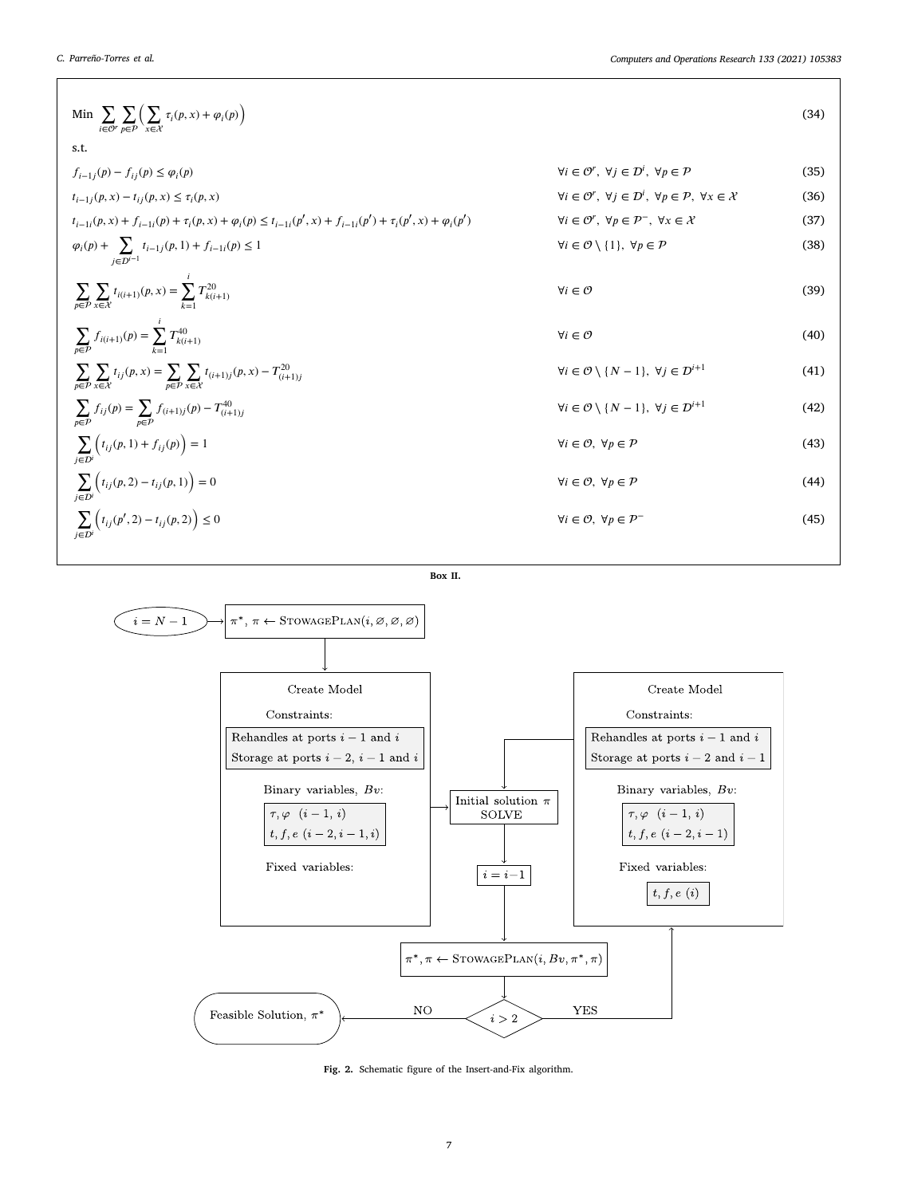$$
\begin{array}{ll}\n\text{Min} & \sum_{i \in \mathcal{O}'} \sum_{p \in P} \left( \sum_{x \in \mathcal{X}} \tau_{i}(p,x) + \varphi_{i}(p) \right) & \\
\text{s.t.} & \int_{i-1,j}(p) - f_{ij}(p) \le \varphi_{i}(p) & \forall i \in \mathcal{O}', \forall j \in \mathcal{D}', \forall p \in \mathcal{P} \quad (35) \\
\tau_{i-1,j}(p,x) - \tau_{ij}(p,x) \le \tau_{i}(p,x) & \forall i \in \mathcal{O}', \forall j \in \mathcal{D}', \forall p \in \mathcal{P}, \forall x \in \mathcal{X} \quad (36) \\
\tau_{i-1,j}(p,x) + f_{i-1,j}(p) + \tau_{i}(p,x) + \varphi_{i}(p) \le t_{i-1,j}(p',x) + f_{i-1,j}(p') + \tau_{i}(p',x) + \varphi_{i}(p') & \forall i \in \mathcal{O}', \forall p \in \mathcal{P}, \forall x \in \mathcal{X} \quad (37) \\
\varphi_{i}(p) + \sum_{j \in \mathcal{D}'} \tau_{i-1,j}(p,1) + f_{i-1,j}(p) \le 1 & \forall i \in \mathcal{O} \setminus \{1\}, \forall p \in \mathcal{P} \quad (38) \\
\sum_{p \in \mathcal{P}} \sum_{x \in \mathcal{X}} \tau_{i(i+1,j}(p,x) = \sum_{p \in \mathcal{P}} \tau_{i(k+1)}^{20} & \forall i \in \mathcal{O} \quad (39) \\
\sum_{p \in \mathcal{P}} \sum_{x \in \mathcal{X}} \tau_{i,j}(p,x) = \sum_{p \in \mathcal{P}} \sum_{x \in \mathcal{X}} \tau_{i(i+1,j}(p,x) - T_{i+1,j}^{20} & \forall i \in \mathcal{O} \setminus \{N-1\}, \forall j \in \mathcal{D}^{i+1} \quad (41) \\
\sum_{p \in \mathcal{P}} \sum_{x \in \mathcal{X}} \tau_{ij}(p) = \sum_{p \in \mathcal{P}} \int_{\mathcal{F}_{i+1,j}(p)} \tau_{i-1,j}(p) - T_{i+1,j}^{20} & \forall i \in \mathcal{O} \set
$$

<span id="page-6-5"></span><span id="page-6-4"></span><span id="page-6-3"></span><span id="page-6-1"></span><span id="page-6-0"></span>
$$
Box\ II.
$$

<span id="page-6-2"></span>

<span id="page-6-6"></span>**Fig. 2.** Schematic figure of the Insert-and-Fix algorithm.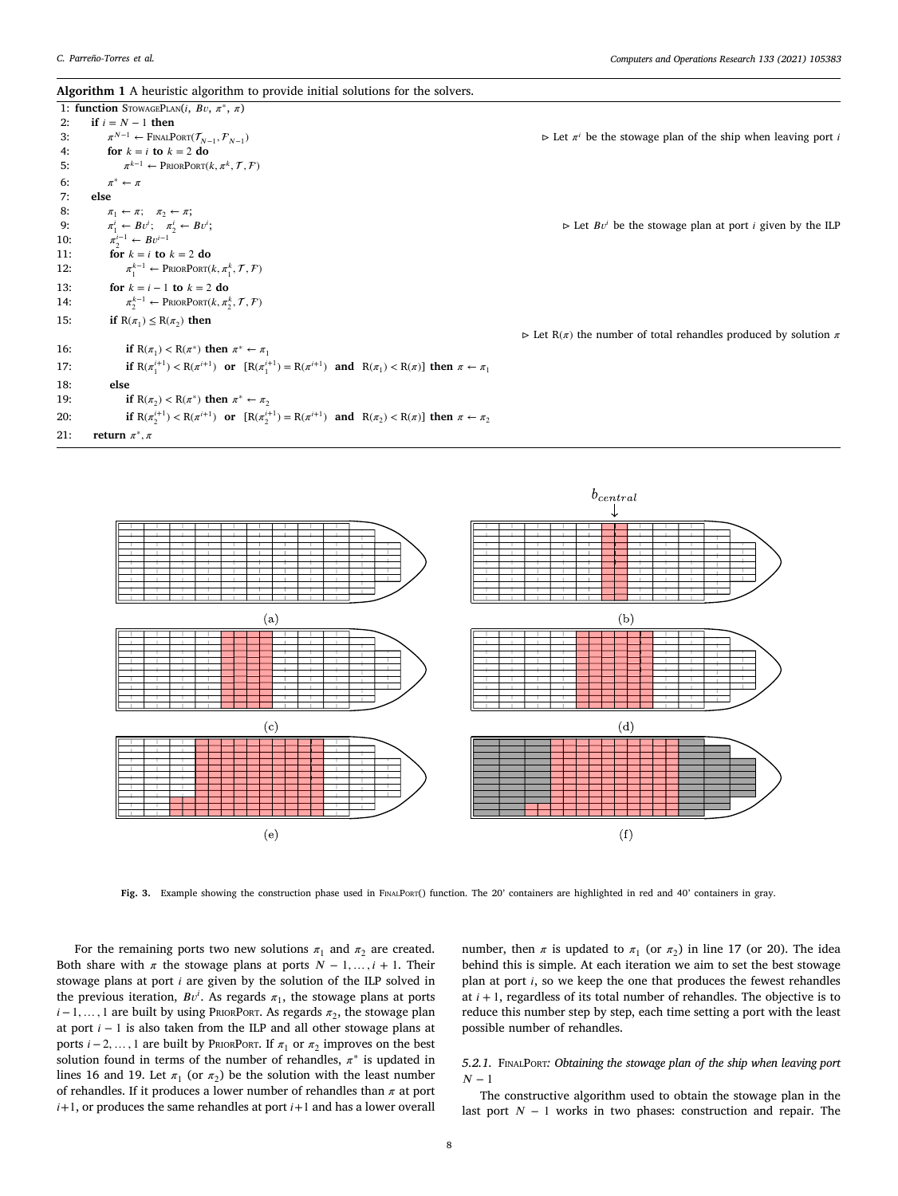<span id="page-7-0"></span>

|  |  |  | Algorithm 1 A heuristic algorithm to provide initial solutions for the solvers. |
|--|--|--|---------------------------------------------------------------------------------|
|--|--|--|---------------------------------------------------------------------------------|

|     | <i>n</i> gorium 1 n neurone agorium to provide minar solutions for the solvers.                                                |                                                                                           |
|-----|--------------------------------------------------------------------------------------------------------------------------------|-------------------------------------------------------------------------------------------|
|     | 1: function STOWAGEPLAN(i, Bv, $\pi^*$ , $\pi$ )                                                                               |                                                                                           |
| 2:  | if $i = N - 1$ then                                                                                                            |                                                                                           |
| 3:  | $\pi^{N-1} \leftarrow$ FINALPORT $(\mathcal{T}_{N-1}, \mathcal{F}_{N-1})$                                                      | $\triangleright$ Let $\pi^{i}$ be the stowage plan of the ship when leaving port <i>i</i> |
| 4:  | for $k = i$ to $k = 2$ do                                                                                                      |                                                                                           |
| 5:  | $\pi^{k-1} \leftarrow \text{PriORPORT}(k, \pi^k, \mathcal{T}, \mathcal{F})$                                                    |                                                                                           |
| 6:  | $\pi^* \leftarrow \pi$                                                                                                         |                                                                                           |
| 7:  | else                                                                                                                           |                                                                                           |
| 8:  | $\pi_1 \leftarrow \pi$ ; $\pi_2 \leftarrow \pi$ ;                                                                              |                                                                                           |
| 9:  | $\pi_1^i \leftarrow Bv^i; \quad \pi_2^i \leftarrow Bv^i;$                                                                      | $\triangleright$ Let $Bv^i$ be the stowage plan at port <i>i</i> given by the ILP         |
| 10: | $\pi^{i-1}_{2} \leftarrow Bv^{i-1}$                                                                                            |                                                                                           |
| 11: | for $k = i$ to $k = 2$ do                                                                                                      |                                                                                           |
| 12: | $\pi_1^{k-1} \leftarrow \text{PhiORPORT}(k, \pi_1^k, \mathcal{T}, \mathcal{F})$                                                |                                                                                           |
| 13: | for $k = i - 1$ to $k = 2$ do                                                                                                  |                                                                                           |
| 14: | $\pi^{k-1}_{2} \leftarrow \text{PhiorPort}(k, \pi^{k}_{2}, \mathcal{T}, \mathcal{F})$                                          |                                                                                           |
| 15: | if $R(\pi_1) \le R(\pi_2)$ then                                                                                                |                                                                                           |
|     |                                                                                                                                | $\triangleright$ Let R( $\pi$ ) the number of total rehandles produced by solution $\pi$  |
| 16: | if $R(\pi_1) < R(\pi^*)$ then $\pi^* \leftarrow \pi_1$                                                                         |                                                                                           |
| 17: | if $R(\pi_1^{i+1}) < R(\pi_1^{i+1})$ or $[R(\pi_1^{i+1}) = R(\pi_1^{i+1})$ and $R(\pi_1) < R(\pi)$ then $\pi \leftarrow \pi_1$ |                                                                                           |
| 18: | else                                                                                                                           |                                                                                           |
| 19: | if $R(\pi_2) < R(\pi^*)$ then $\pi^* \leftarrow \pi_2$                                                                         |                                                                                           |
| 20: | if $R(\pi_2^{i+1}) < R(\pi^{i+1})$ or $[R(\pi_2^{i+1}) = R(\pi^{i+1})$ and $R(\pi_2) < R(\pi)]$ then $\pi \leftarrow \pi_2$    |                                                                                           |
| 21: | return $\pi^*$ , $\pi$                                                                                                         |                                                                                           |

<span id="page-7-2"></span>

Fig. 3. Example showing the construction phase used in FINALPORT() function. The 20' containers are highlighted in red and 40' containers in gray.

<span id="page-7-1"></span>For the remaining ports two new solutions  $\pi_1$  and  $\pi_2$  are created. Both share with  $\pi$  the stowage plans at ports  $N - 1, \ldots, i + 1$ . Their stowage plans at port  $i$  are given by the solution of the ILP solved in the previous iteration,  $Bv^i$ . As regards  $\pi_1$ , the stowage plans at ports  $i-1, \ldots, 1$  are built by using PRIORPORT. As regards  $\pi_2$ , the stowage plan at port  $i - 1$  is also taken from the ILP and all other stowage plans at ports  $i - 2, ..., 1$  are built by PRIORPORT. If  $\pi_1$  or  $\pi_2$  improves on the best solution found in terms of the number of rehandles,  $\pi^*$  is updated in lines 16 and 19. Let  $\pi_1$  (or  $\pi_2$ ) be the solution with the least number of rehandles. If it produces a lower number of rehandles than  $\pi$  at port  $i+1$ , or produces the same rehandles at port  $i+1$  and has a lower overall

<span id="page-7-3"></span>number, then  $\pi$  is updated to  $\pi_1$  (or  $\pi_2$ ) in line 17 (or 20). The idea behind this is simple. At each iteration we aim to set the best stowage plan at port  $i$ , so we keep the one that produces the fewest rehandles at  $i + 1$ , regardless of its total number of rehandles. The objective is to reduce this number step by step, each time setting a port with the least possible number of rehandles.

## *5.2.1.* FinalPort*: Obtaining the stowage plan of the ship when leaving port*  $N-1$

<span id="page-7-4"></span>The constructive algorithm used to obtain the stowage plan in the last port  $N - 1$  works in two phases: construction and repair. The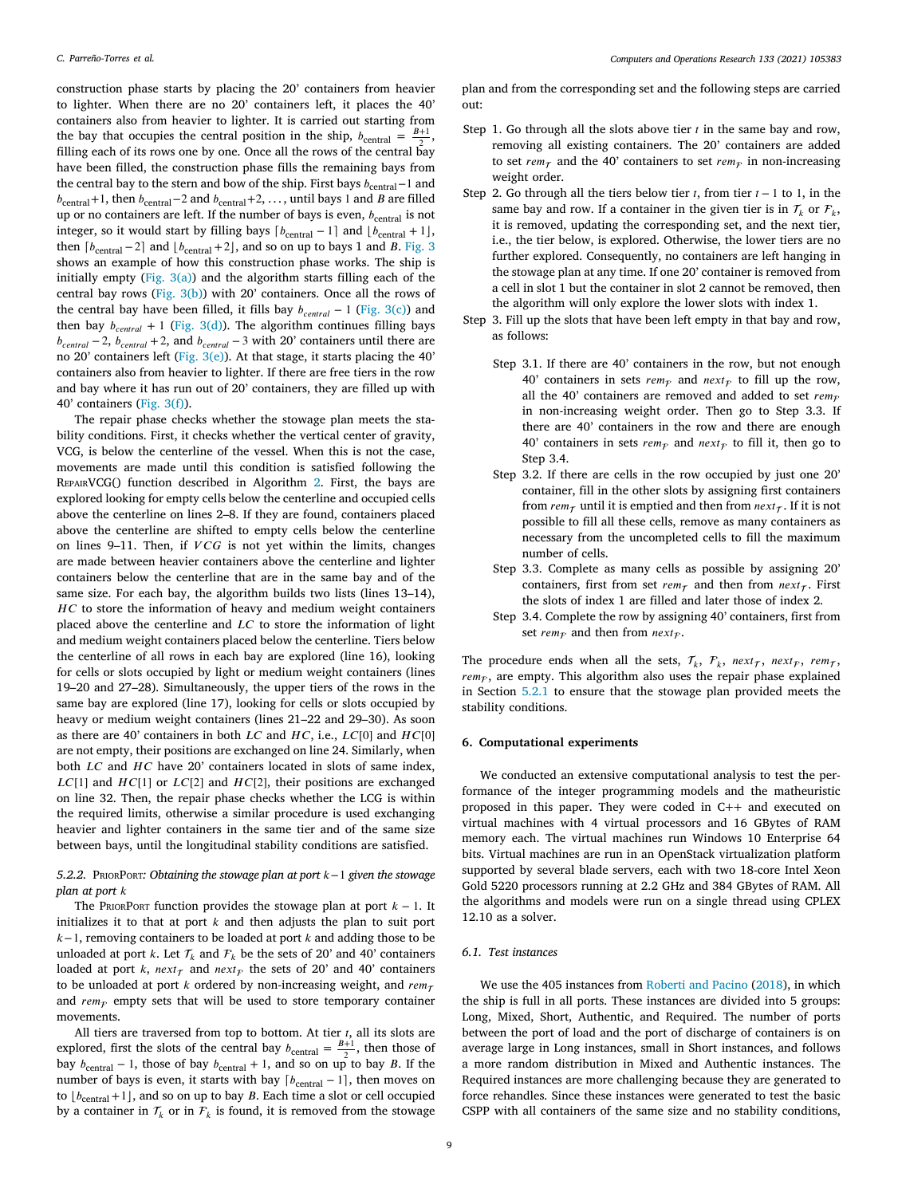construction phase starts by placing the 20' containers from heavier to lighter. When there are no 20' containers left, it places the 40' containers also from heavier to lighter. It is carried out starting from the bay that occupies the central position in the ship,  $b_{\text{central}} = \frac{B+1}{2}$ , filling each of its rows one by one. Once all the rows of the central bay have been filled, the construction phase fills the remaining bays from the central bay to the stern and bow of the ship. First bays  $b_{\text{central}}-1$  and  $b_{\text{central}}+1$ , then  $b_{\text{central}}-2$  and  $b_{\text{central}}+2$ , ..., until bays 1 and *B* are filled up or no containers are left. If the number of bays is even,  $b_{\text{central}}$  is not integer, so it would start by filling bays  $\lceil b_{\text{central}} - 1 \rceil$  and  $\lfloor b_{\text{central}} + 1 \rfloor$ , then  $\lceil b_{\text{central}} - 2 \rceil$  and  $\lfloor b_{\text{central}} + 2 \rfloor$ , and so on up to bays 1 and B. [Fig.](#page-7-1) [3](#page-7-1) shows an example of how this construction phase works. The ship is initially empty [\(Fig.](#page-7-2) [3\(a\)](#page-7-2)) and the algorithm starts filling each of the central bay rows [\(Fig.](#page-7-3) [3\(b\)\)](#page-7-3) with 20' containers. Once all the rows of the central bay have been filled, it fills bay  $b_{central} - 1$  [\(Fig.](#page-7-3) [3\(c\)\)](#page-7-3) and then bay  $b_{central} + 1$  ([Fig.](#page-7-3) [3\(d\)\)](#page-7-3). The algorithm continues filling bays  $b_{central} - 2$ ,  $b_{central} + 2$ , and  $b_{central} - 3$  with 20' containers until there are no 20' containers left ([Fig.](#page-7-3) [3\(e\)\)](#page-7-3). At that stage, it starts placing the 40' containers also from heavier to lighter. If there are free tiers in the row and bay where it has run out of 20' containers, they are filled up with 40' containers [\(Fig.](#page-7-3) [3\(f\)](#page-7-3)).

The repair phase checks whether the stowage plan meets the stability conditions. First, it checks whether the vertical center of gravity, VCG, is below the centerline of the vessel. When this is not the case, movements are made until this condition is satisfied following the RepairVCG() function described in Algorithm [2.](#page-9-0) First, the bays are explored looking for empty cells below the centerline and occupied cells above the centerline on lines 2–8. If they are found, containers placed above the centerline are shifted to empty cells below the centerline on lines  $9-11$ . Then, if  $VCG$  is not yet within the limits, changes are made between heavier containers above the centerline and lighter containers below the centerline that are in the same bay and of the same size. For each bay, the algorithm builds two lists (lines 13–14),  $HC$  to store the information of heavy and medium weight containers placed above the centerline and  $LC$  to store the information of light and medium weight containers placed below the centerline. Tiers below the centerline of all rows in each bay are explored (line 16), looking for cells or slots occupied by light or medium weight containers (lines 19–20 and 27–28). Simultaneously, the upper tiers of the rows in the same bay are explored (line 17), looking for cells or slots occupied by heavy or medium weight containers (lines 21–22 and 29–30). As soon as there are 40' containers in both  $LC$  and  $HC$ , i.e.,  $LC[0]$  and  $HC[0]$ are not empty, their positions are exchanged on line 24. Similarly, when both  $LC$  and  $HC$  have  $20'$  containers located in slots of same index,  $LC[1]$  and  $HC[1]$  or  $LC[2]$  and  $HC[2]$ , their positions are exchanged on line 32. Then, the repair phase checks whether the LCG is within the required limits, otherwise a similar procedure is used exchanging heavier and lighter containers in the same tier and of the same size between bays, until the longitudinal stability conditions are satisfied.

*5.2.2.* PRIORPORT: Obtaining the stowage plan at port  $k-1$  given the stowage *plan at port*

The PRIORPORT function provides the stowage plan at port  $k - 1$ . It initializes it to that at port  $k$  and then adjusts the plan to suit port  $k-1$ , removing containers to be loaded at port  $k$  and adding those to be unloaded at port k. Let  $\mathcal{T}_k$  and  $\mathcal{F}_k$  be the sets of 20' and 40' containers loaded at port k, next<sub> $\tau$ </sub> and next<sub>F</sub> the sets of 20' and 40' containers to be unloaded at port  $k$  ordered by non-increasing weight, and  $rem_{\tau}$ and  $rem_{\mathcal{F}}$  empty sets that will be used to store temporary container movements.

All tiers are traversed from top to bottom. At tier  $t$ , all its slots are explored, first the slots of the central bay  $b_{\text{central}} = \frac{B+1}{2}$ , then those of bay  $b_{\text{central}} - 1$ , those of bay  $b_{\text{central}} + 1$ , and so on up to bay B. If the number of bays is even, it starts with bay  $\lceil b_{\text{central}} - 1 \rceil$ , then moves on to  $\lfloor b_{\text{central}} + 1 \rfloor$ , and so on up to bay B. Each time a slot or cell occupied by a container in  $\mathcal{T}_k$  or in  $\mathcal{F}_k$  is found, it is removed from the stowage

plan and from the corresponding set and the following steps are carried out:

- Step 1. Go through all the slots above tier  $t$  in the same bay and row, removing all existing containers. The 20' containers are added to set  $rem_{\tau}$  and the 40' containers to set  $rem_{\tau}$  in non-increasing weight order.
- Step 2. Go through all the tiers below tier  $t$ , from tier  $t 1$  to 1, in the same bay and row. If a container in the given tier is in  $\mathcal{T}_k$  or  $\mathcal{F}_k$ , it is removed, updating the corresponding set, and the next tier, i.e., the tier below, is explored. Otherwise, the lower tiers are no further explored. Consequently, no containers are left hanging in the stowage plan at any time. If one 20' container is removed from a cell in slot 1 but the container in slot 2 cannot be removed, then the algorithm will only explore the lower slots with index 1.
- Step 3. Fill up the slots that have been left empty in that bay and row, as follows:
	- Step 3.1. If there are 40' containers in the row, but not enough 40' containers in sets  $rem<sub>F</sub>$  and  $next<sub>F</sub>$  to fill up the row, all the 40' containers are removed and added to set  $rem_{\mathcal{F}}$ in non-increasing weight order. Then go to Step 3.3. If there are 40' containers in the row and there are enough 40' containers in sets  $rem_F$  and  $next_F$  to fill it, then go to Step 3.4.
	- Step 3.2. If there are cells in the row occupied by just one 20' container, fill in the other slots by assigning first containers from  $rem_{\tau}$  until it is emptied and then from  $next_{\tau}$ . If it is not possible to fill all these cells, remove as many containers as necessary from the uncompleted cells to fill the maximum number of cells.
	- Step 3.3. Complete as many cells as possible by assigning 20' containers, first from set  $rem_\tau$  and then from  $next_\tau$ . First the slots of index 1 are filled and later those of index 2.
	- Step 3.4. Complete the row by assigning 40' containers, first from set  $rem_{\mathcal{F}}$  and then from  $next_{\mathcal{F}}$ .

The procedure ends when all the sets,  $\mathcal{T}_k$ ,  $\mathcal{F}_k$ ,  $next_{\mathcal{T}}$ ,  $next_{\mathcal{T}}$ ,  $rem_{\mathcal{T}}$ ,  $rem<sub>F</sub>$ , are empty. This algorithm also uses the repair phase explained in Section [5.2.1](#page-7-4) to ensure that the stowage plan provided meets the stability conditions.

## **6. Computational experiments**

<span id="page-8-0"></span>We conducted an extensive computational analysis to test the performance of the integer programming models and the matheuristic proposed in this paper. They were coded in C++ and executed on virtual machines with 4 virtual processors and 16 GBytes of RAM memory each. The virtual machines run Windows 10 Enterprise 64 bits. Virtual machines are run in an OpenStack virtualization platform supported by several blade servers, each with two 18-core Intel Xeon Gold 5220 processors running at 2.2 GHz and 384 GBytes of RAM. All the algorithms and models were run on a single thread using CPLEX 12.10 as a solver.

#### *6.1. Test instances*

We use the 405 instances from [Roberti and Pacino](#page-13-12) [\(2018](#page-13-12)), in which the ship is full in all ports. These instances are divided into 5 groups: Long, Mixed, Short, Authentic, and Required. The number of ports between the port of load and the port of discharge of containers is on average large in Long instances, small in Short instances, and follows a more random distribution in Mixed and Authentic instances. The Required instances are more challenging because they are generated to force rehandles. Since these instances were generated to test the basic CSPP with all containers of the same size and no stability conditions,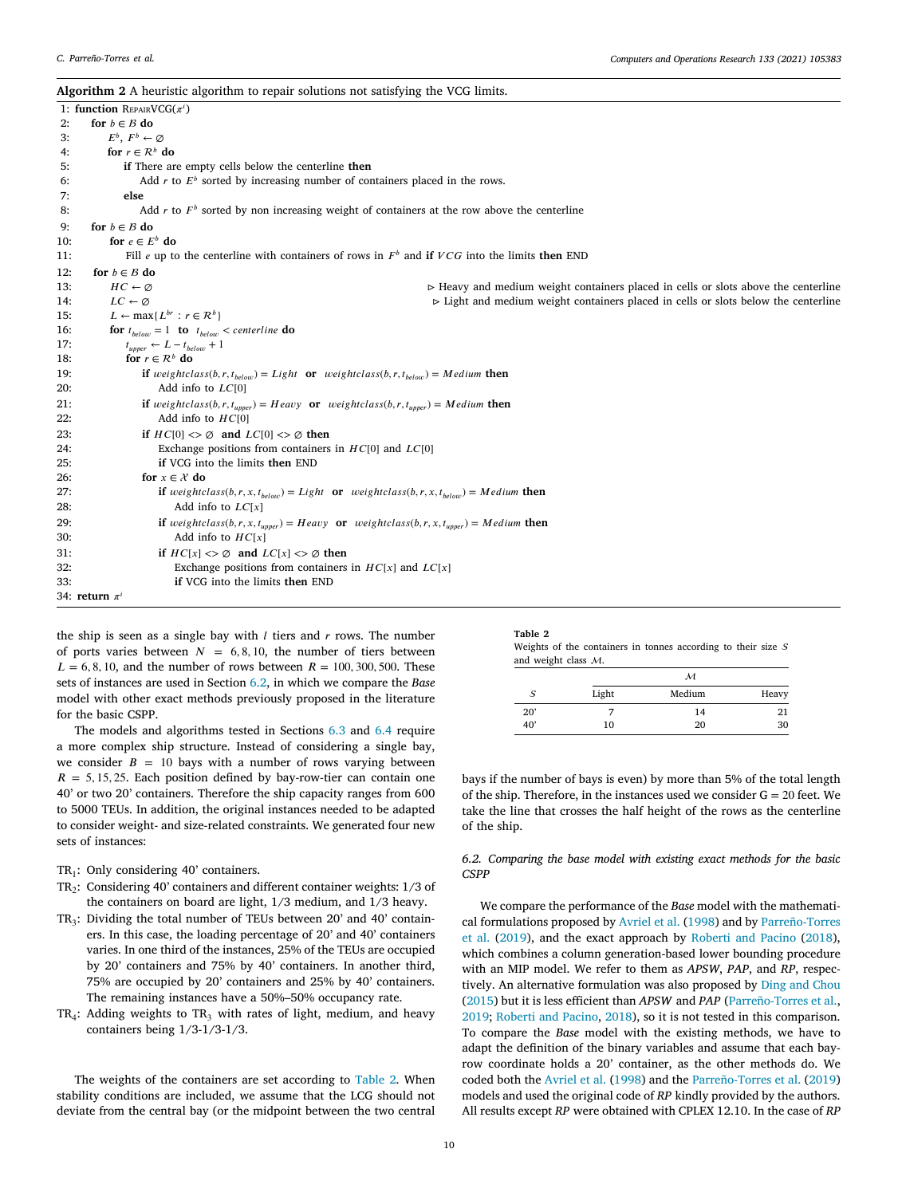<span id="page-9-0"></span>

|     | Algorithm 2 A heuristic algorithm to repair solutions not satisfying the VCG limits.                                           |                                                                                                   |
|-----|--------------------------------------------------------------------------------------------------------------------------------|---------------------------------------------------------------------------------------------------|
|     | 1: function REPAIRVCG $(\pi^i)$                                                                                                |                                                                                                   |
| 2:  | for $b \in B$ do                                                                                                               |                                                                                                   |
| 3:  | $E^b$ , $F^b \leftarrow \emptyset$                                                                                             |                                                                                                   |
| 4:  | for $r \in \mathcal{R}^b$ do                                                                                                   |                                                                                                   |
| 5:  | if There are empty cells below the centerline then                                                                             |                                                                                                   |
| 6:  | Add r to $E^b$ sorted by increasing number of containers placed in the rows.                                                   |                                                                                                   |
| 7:  | else                                                                                                                           |                                                                                                   |
| 8:  | Add $r$ to $Fb$ sorted by non increasing weight of containers at the row above the centerline                                  |                                                                                                   |
| 9:  | for $b \in B$ do                                                                                                               |                                                                                                   |
| 10: | for $e \in E^b$ do                                                                                                             |                                                                                                   |
| 11: | Fill e up to the centerline with containers of rows in $Fb$ and if $VCG$ into the limits then END                              |                                                                                                   |
| 12: | for $b \in B$ do                                                                                                               |                                                                                                   |
| 13: | $HC \leftarrow \emptyset$                                                                                                      | $\triangleright$ Heavy and medium weight containers placed in cells or slots above the centerline |
| 14: | $LC \leftarrow \emptyset$                                                                                                      | $\triangleright$ Light and medium weight containers placed in cells or slots below the centerline |
| 15: | $L \leftarrow \max\{L^{br}: r \in \mathcal{R}^b\}$                                                                             |                                                                                                   |
| 16: | <b>for</b> $t_{below} = 1$ <b>to</b> $t_{below} <$ centerline <b>do</b>                                                        |                                                                                                   |
| 17: | $t_{\text{unner}} \leftarrow L - t_{\text{below}} + 1$                                                                         |                                                                                                   |
| 18: | for $r \in \mathcal{R}^b$ do                                                                                                   |                                                                                                   |
| 19: | <b>if</b> weightclass(b,r,t <sub>helow</sub> ) = Light or weightclass(b,r,t <sub>helow</sub> ) = Medium then                   |                                                                                                   |
| 20: | Add info to $LC[0]$                                                                                                            |                                                                                                   |
| 21: | <b>if</b> weightclass(b, r, t <sub>unner</sub> ) = Heavy <b>or</b> weightclass(b, r, t <sub>unner</sub> ) = Medium <b>then</b> |                                                                                                   |
| 22: | Add info to $HC[0]$                                                                                                            |                                                                                                   |

the ship is seen as a single bay with  $l$  tiers and  $r$  rows. The number of ports varies between  $N = 6, 8, 10$ , the number of tiers between  $L = 6, 8, 10,$  and the number of rows between  $R = 100, 300, 500$ . These sets of instances are used in Section [6.2,](#page-9-1) in which we compare the *Base* model with other exact methods previously proposed in the literature for the basic CSPP.

32: Exchange positions from containers in  $HC[x]$  and  $LC[x]$ 

24: Exchange positions from containers in  $HC[0]$  and  $LC[0]$ 

Add info to  $LC[x]$ 

Add info to  $HC[x]$ 31: **if**  $HC[x] \leq \emptyset$  and  $LC[x] \leq \emptyset$  then

27: **if**  $weightclass(b, r, x, t_{below}) = Light \textbf{or} weightclass(b, r, x, t_{below}) = Medium \textbf{then}$ <br>28: Add info to  $LC[x]$ 

29: **if**  $weightclass(b, r, x, t_{upper}) = Heavy$  or  $weightclass(b, r, x, t_{upper}) = Medium$  then 30: Add info to  $HC[x]$ 

23: **if**  $HC[0] \leq \emptyset$  and  $LC[0] \leq \emptyset$  then

33: **if** VCG into the limits **then** END

25: **if** VCG into the limits **then** END

26: **for**  $x \in \mathcal{X}$  do

34: **return**  $\pi^i$ 

The models and algorithms tested in Sections [6.3](#page-10-0) and [6.4](#page-11-0) require a more complex ship structure. Instead of considering a single bay, we consider  $B = 10$  bays with a number of rows varying between  $R = 5, 15, 25$ . Each position defined by bay-row-tier can contain one 40' or two 20' containers. Therefore the ship capacity ranges from 600 to 5000 TEUs. In addition, the original instances needed to be adapted to consider weight- and size-related constraints. We generated four new sets of instances:

- $TR<sub>1</sub>$ : Only considering 40' containers.
- $TR<sub>2</sub>$ : Considering 40' containers and different container weights:  $1/3$  of the containers on board are light, 1/3 medium, and 1/3 heavy.
- $TR_3$ : Dividing the total number of TEUs between 20' and 40' containers. In this case, the loading percentage of 20' and 40' containers varies. In one third of the instances, 25% of the TEUs are occupied by 20' containers and 75% by 40' containers. In another third, 75% are occupied by 20' containers and 25% by 40' containers. The remaining instances have a 50%–50% occupancy rate.
- $TR_4$ : Adding weights to  $TR_3$  with rates of light, medium, and heavy containers being 1/3-1/3-1/3.

The weights of the containers are set according to [Table](#page-9-2) [2.](#page-9-2) When stability conditions are included, we assume that the LCG should not deviate from the central bay (or the midpoint between the two central

| nı |  |
|----|--|
|----|--|

<span id="page-9-2"></span>

| Weights of the containers in tonnes according to their size $S$ |  |  |  |  |
|-----------------------------------------------------------------|--|--|--|--|
| and weight class $M$ .                                          |  |  |  |  |

|       | м      |       |
|-------|--------|-------|
| Light | Medium | Heavy |
|       | 14     | 21    |
| 10    | 20     | 30    |
|       |        |       |

bays if the number of bays is even) by more than 5% of the total length of the ship. Therefore, in the instances used we consider  $G = 20$  feet. We take the line that crosses the half height of the rows as the centerline of the ship.

*6.2. Comparing the base model with existing exact methods for the basic CSPP*

<span id="page-9-1"></span>We compare the performance of the *Base* model with the mathematical formulations proposed by [Avriel et al.](#page-13-9) [\(1998](#page-13-9)) and by [Parreño-Torres](#page-13-1) [et al.](#page-13-1) ([2019](#page-13-1)), and the exact approach by [Roberti and Pacino](#page-13-12) ([2018](#page-13-12)), which combines a column generation-based lower bounding procedure with an MIP model. We refer to them as *APSW*, *PAP*, and *RP*, respectively. An alternative formulation was also proposed by [Ding and Chou](#page-13-11) ([2015\)](#page-13-11) but it is less efficient than *APSW* and *PAP* ([Parreño-Torres et al.](#page-13-1), [2019;](#page-13-1) [Roberti and Pacino,](#page-13-12) [2018](#page-13-12)), so it is not tested in this comparison. To compare the *Base* model with the existing methods, we have to adapt the definition of the binary variables and assume that each bayrow coordinate holds a 20' container, as the other methods do. We coded both the [Avriel et al.](#page-13-9) ([1998](#page-13-9)) and the [Parreño-Torres et al.](#page-13-1) ([2019\)](#page-13-1) models and used the original code of *RP* kindly provided by the authors. All results except *RP* were obtained with CPLEX 12.10. In the case of *RP*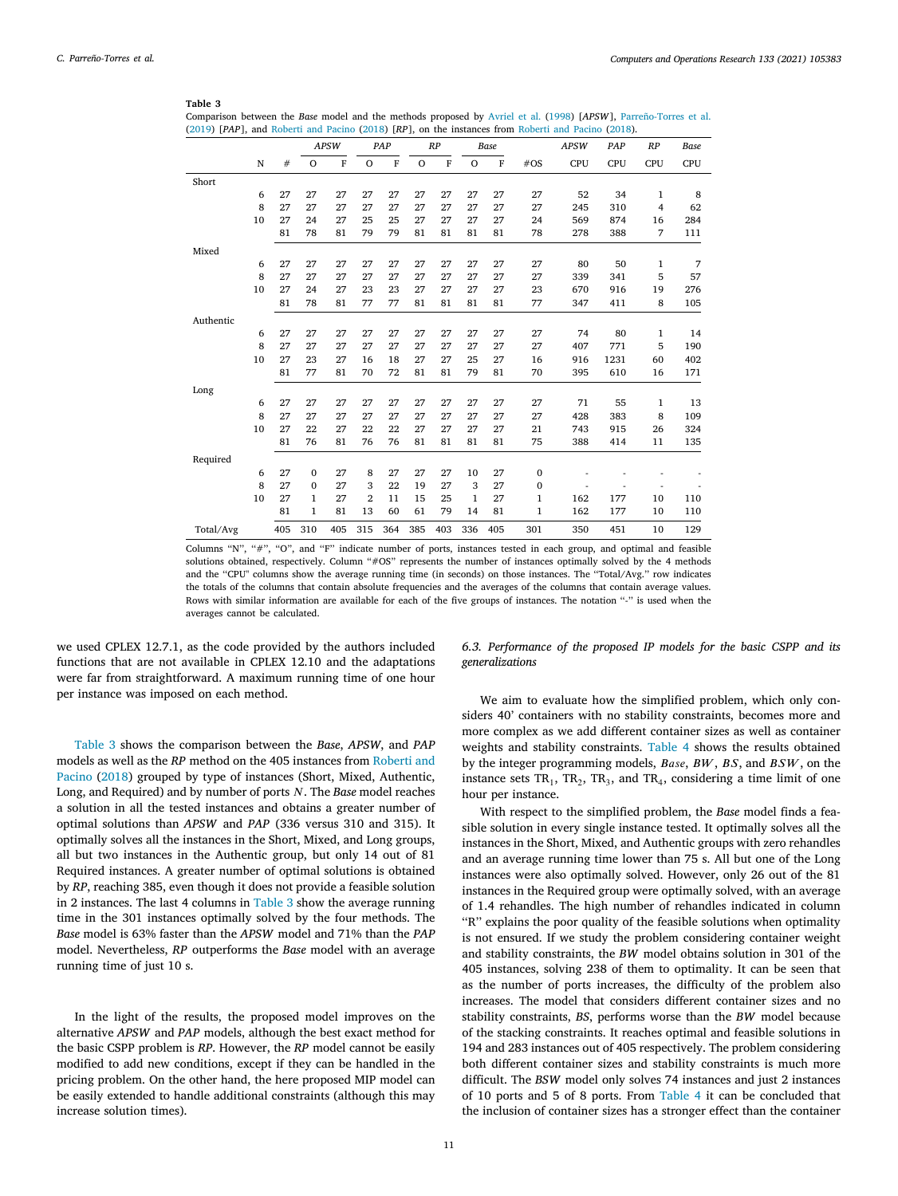<span id="page-10-1"></span>

|                                                                                                    | Comparison between the Base model and the methods proposed by Avriel et al. (1998) [APSW], Parreño-Torres et al. |
|----------------------------------------------------------------------------------------------------|------------------------------------------------------------------------------------------------------------------|
| (2019) [PAP], and Roberti and Pacino (2018) [RP], on the instances from Roberti and Pacino (2018). |                                                                                                                  |

|           |    |     |              | <b>APSW</b>    |                | PAP            |         | RP             |         | <b>Base</b>    |              | <b>APSW</b> | PAP  | RP  | <b>Base</b> |
|-----------|----|-----|--------------|----------------|----------------|----------------|---------|----------------|---------|----------------|--------------|-------------|------|-----|-------------|
|           | N  | #   | $\circ$      | $\overline{F}$ | $\circ$        | $\overline{F}$ | $\circ$ | $\overline{F}$ | $\circ$ | $\overline{F}$ | $\#OS$       | <b>CPU</b>  | CPU  | CPU | CPU         |
| Short     |    |     |              |                |                |                |         |                |         |                |              |             |      |     |             |
|           | 6  | 27  | 27           | 27             | 27             | 27             | 27      | 27             | 27      | 27             | 27           | 52          | 34   | 1   | 8           |
|           | 8  | 27  | 27           | 27             | 27             | 27             | 27      | 27             | 27      | 27             | 27           | 245         | 310  | 4   | 62          |
|           | 10 | 27  | 24           | 27             | 25             | 25             | 27      | 27             | 27      | 27             | 24           | 569         | 874  | 16  | 284         |
|           |    | 81  | 78           | 81             | 79             | 79             | 81      | 81             | 81      | 81             | 78           | 278         | 388  | 7   | 111         |
| Mixed     |    |     |              |                |                |                |         |                |         |                |              |             |      |     |             |
|           | 6  | 27  | 27           | 27             | 27             | 27             | 27      | 27             | 27      | 27             | 27           | 80          | 50   | 1   | 7           |
|           | 8  | 27  | 27           | 27             | 27             | 27             | 27      | 27             | 27      | 27             | 27           | 339         | 341  | 5   | 57          |
|           | 10 | 27  | 24           | 27             | 23             | 23             | 27      | 27             | 27      | 27             | 23           | 670         | 916  | 19  | 276         |
|           |    | 81  | 78           | 81             | 77             | 77             | 81      | 81             | 81      | 81             | 77           | 347         | 411  | 8   | 105         |
| Authentic |    |     |              |                |                |                |         |                |         |                |              |             |      |     |             |
|           | 6  | 27  | 27           | 27             | 27             | 27             | 27      | 27             | 27      | 27             | 27           | 74          | 80   | 1   | 14          |
|           | 8  | 27  | 27           | 27             | 27             | 27             | 27      | 27             | 27      | 27             | 27           | 407         | 771  | 5   | 190         |
|           | 10 | 27  | 23           | 27             | 16             | 18             | 27      | 27             | 25      | 27             | 16           | 916         | 1231 | 60  | 402         |
|           |    | 81  | 77           | 81             | 70             | 72             | 81      | 81             | 79      | 81             | 70           | 395         | 610  | 16  | 171         |
| Long      |    |     |              |                |                |                |         |                |         |                |              |             |      |     |             |
|           | 6  | 27  | 27           | 27             | 27             | 27             | 27      | 27             | 27      | 27             | 27           | 71          | 55   | 1   | 13          |
|           | 8  | 27  | 27           | 27             | 27             | 27             | 27      | 27             | 27      | 27             | 27           | 428         | 383  | 8   | 109         |
|           | 10 | 27  | 22           | 27             | 22             | 22             | 27      | 27             | 27      | 27             | 21           | 743         | 915  | 26  | 324         |
|           |    | 81  | 76           | 81             | 76             | 76             | 81      | 81             | 81      | 81             | 75           | 388         | 414  | 11  | 135         |
| Required  |    |     |              |                |                |                |         |                |         |                |              |             |      |     |             |
|           | 6  | 27  | $\mathbf{0}$ | 27             | 8              | 27             | 27      | 27             | 10      | 27             | $\bf{0}$     |             |      |     |             |
|           | 8  | 27  | $\mathbf{0}$ | 27             | 3              | 22             | 19      | 27             | 3       | 27             | $\bf{0}$     |             |      |     |             |
|           | 10 | 27  | 1            | 27             | $\overline{2}$ | 11             | 15      | 25             | 1       | 27             | 1            | 162         | 177  | 10  | 110         |
|           |    | 81  | 1            | 81             | 13             | 60             | 61      | 79             | 14      | 81             | $\mathbf{1}$ | 162         | 177  | 10  | 110         |
| Total/Avg |    | 405 | 310          | 405            | 315            | 364            | 385     | 403            | 336     | 405            | 301          | 350         | 451  | 10  | 129         |

Columns "N", "#", "O", and "F" indicate number of ports, instances tested in each group, and optimal and feasible solutions obtained, respectively. Column "#OS" represents the number of instances optimally solved by the 4 methods and the ''CPU" columns show the average running time (in seconds) on those instances. The ''Total/Avg.'' row indicates the totals of the columns that contain absolute frequencies and the averages of the columns that contain average values. Rows with similar information are available for each of the five groups of instances. The notation "-" is used when the averages cannot be calculated.

we used CPLEX 12.7.1, as the code provided by the authors included functions that are not available in CPLEX 12.10 and the adaptations were far from straightforward. A maximum running time of one hour per instance was imposed on each method.

[Table](#page-10-1) [3](#page-10-1) shows the comparison between the *Base*, *APSW*, and *PAP* models as well as the *RP* method on the 405 instances from [Roberti and](#page-13-12) [Pacino](#page-13-12) [\(2018](#page-13-12)) grouped by type of instances (Short, Mixed, Authentic, Long, and Required) and by number of ports N. The *Base* model reaches a solution in all the tested instances and obtains a greater number of optimal solutions than *APSW* and *PAP* (336 versus 310 and 315). It optimally solves all the instances in the Short, Mixed, and Long groups, all but two instances in the Authentic group, but only 14 out of 81 Required instances. A greater number of optimal solutions is obtained by *RP*, reaching 385, even though it does not provide a feasible solution in 2 instances. The last 4 columns in [Table](#page-10-1) [3](#page-10-1) show the average running time in the 301 instances optimally solved by the four methods. The *Base* model is 63% faster than the *APSW* model and 71% than the *PAP* model. Nevertheless, *RP* outperforms the *Base* model with an average running time of just 10 s.

In the light of the results, the proposed model improves on the alternative *APSW* and *PAP* models, although the best exact method for the basic CSPP problem is *RP*. However, the *RP* model cannot be easily modified to add new conditions, except if they can be handled in the pricing problem. On the other hand, the here proposed MIP model can be easily extended to handle additional constraints (although this may increase solution times).

*6.3. Performance of the proposed IP models for the basic CSPP and its generalizations*

<span id="page-10-0"></span>We aim to evaluate how the simplified problem, which only considers 40' containers with no stability constraints, becomes more and more complex as we add different container sizes as well as container weights and stability constraints. [Table](#page-11-1) [4](#page-11-1) shows the results obtained by the integer programming models,  $Base, BW, BS,$  and  $BSW$ , on the instance sets  $TR_1$ ,  $TR_2$ ,  $TR_3$ , and  $TR_4$ , considering a time limit of one hour per instance.

With respect to the simplified problem, the *Base* model finds a feasible solution in every single instance tested. It optimally solves all the instances in the Short, Mixed, and Authentic groups with zero rehandles and an average running time lower than 75 s. All but one of the Long instances were also optimally solved. However, only 26 out of the 81 instances in the Required group were optimally solved, with an average of 1.4 rehandles. The high number of rehandles indicated in column ''R'' explains the poor quality of the feasible solutions when optimality is not ensured. If we study the problem considering container weight and stability constraints, the *BW* model obtains solution in 301 of the 405 instances, solving 238 of them to optimality. It can be seen that as the number of ports increases, the difficulty of the problem also increases. The model that considers different container sizes and no stability constraints, *BS*, performs worse than the *BW* model because of the stacking constraints. It reaches optimal and feasible solutions in 194 and 283 instances out of 405 respectively. The problem considering both different container sizes and stability constraints is much more difficult. The *BSW* model only solves 74 instances and just 2 instances of 10 ports and 5 of 8 ports. From [Table](#page-11-1) [4](#page-11-1) it can be concluded that the inclusion of container sizes has a stronger effect than the container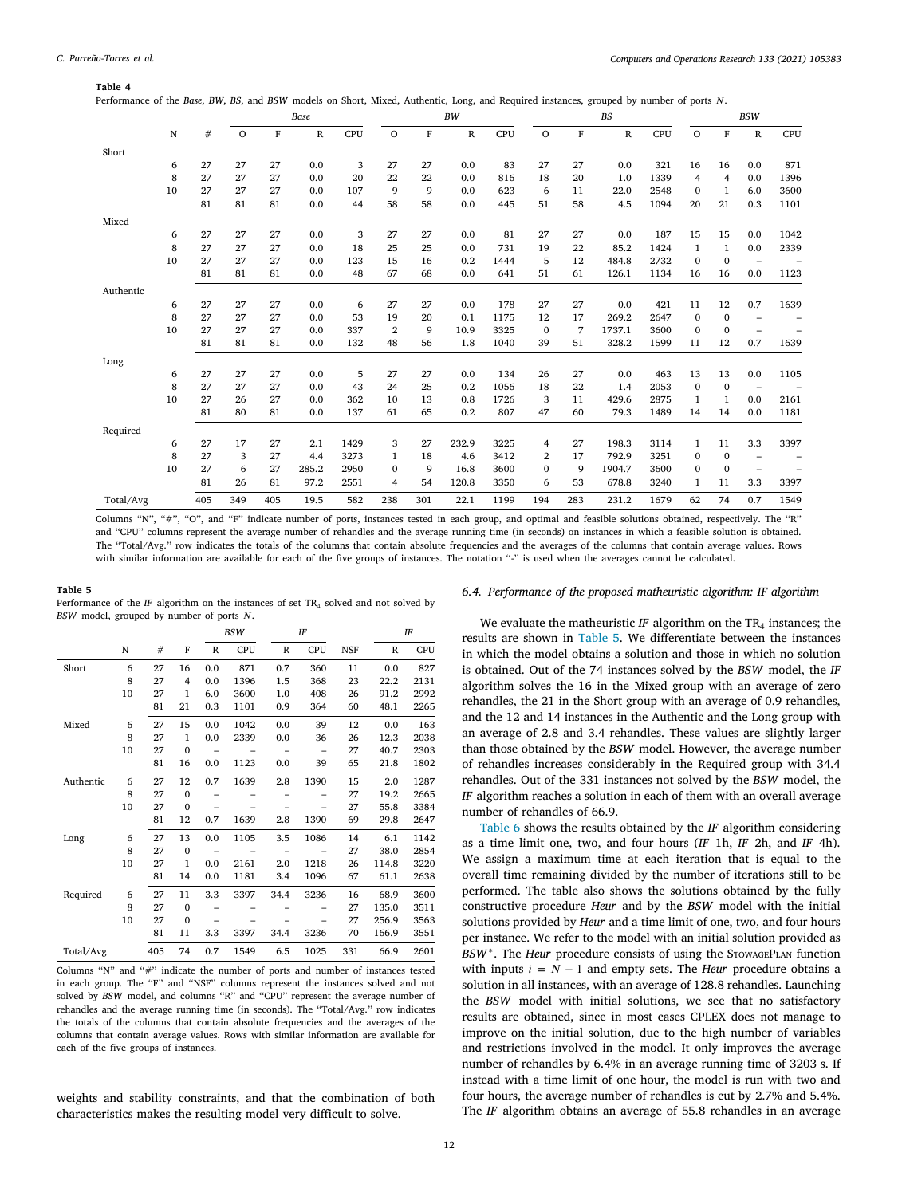<span id="page-11-1"></span>

| Performance of the Base, BW, BS, and BSW models on Short, Mixed, Authentic, Long, and Required instances, grouped by number of ports N. |  |  |  |
|-----------------------------------------------------------------------------------------------------------------------------------------|--|--|--|
|-----------------------------------------------------------------------------------------------------------------------------------------|--|--|--|

|           |    |     |         |     | Base  |      |                | <b>BW</b> |       |      |              | <b>BS</b> |        |      |              |                | <b>BSW</b>               |      |  |  |
|-----------|----|-----|---------|-----|-------|------|----------------|-----------|-------|------|--------------|-----------|--------|------|--------------|----------------|--------------------------|------|--|--|
|           | N  | #   | $\circ$ | F   | R     | CPU  | $\circ$        | F         | R     | CPU  | $\circ$      | F         | R      | CPU  | $\mathbf O$  | $\rm F$        | ${\bf R}$                | CPU  |  |  |
| Short     |    |     |         |     |       |      |                |           |       |      |              |           |        |      |              |                |                          |      |  |  |
|           | 6  | 27  | 27      | 27  | 0.0   | 3    | 27             | 27        | 0.0   | 83   | 27           | 27        | 0.0    | 321  | 16           | 16             | 0.0                      | 871  |  |  |
|           | 8  | 27  | 27      | 27  | 0.0   | 20   | 22             | 22        | 0.0   | 816  | 18           | 20        | 1.0    | 1339 | 4            | $\overline{4}$ | 0.0                      | 1396 |  |  |
|           | 10 | 27  | 27      | 27  | 0.0   | 107  | 9              | 9         | 0.0   | 623  | 6            | 11        | 22.0   | 2548 | $\mathbf{0}$ | $\mathbf{1}$   | 6.0                      | 3600 |  |  |
|           |    | 81  | 81      | 81  | 0.0   | 44   | 58             | 58        | 0.0   | 445  | 51           | 58        | 4.5    | 1094 | 20           | 21             | 0.3                      | 1101 |  |  |
| Mixed     |    |     |         |     |       |      |                |           |       |      |              |           |        |      |              |                |                          |      |  |  |
|           | 6  | 27  | 27      | 27  | 0.0   | 3    | 27             | 27        | 0.0   | 81   | 27           | 27        | 0.0    | 187  | 15           | 15             | 0.0                      | 1042 |  |  |
|           | 8  | 27  | 27      | 27  | 0.0   | 18   | 25             | 25        | 0.0   | 731  | 19           | 22        | 85.2   | 1424 | $\mathbf{1}$ | $\mathbf{1}$   | 0.0                      | 2339 |  |  |
|           | 10 | 27  | 27      | 27  | 0.0   | 123  | 15             | 16        | 0.2   | 1444 | 5            | 12        | 484.8  | 2732 | $\mathbf{0}$ | $\mathbf{0}$   | $\overline{\phantom{a}}$ |      |  |  |
|           |    | 81  | 81      | 81  | 0.0   | 48   | 67             | 68        | 0.0   | 641  | 51           | 61        | 126.1  | 1134 | 16           | 16             | 0.0                      | 1123 |  |  |
| Authentic |    |     |         |     |       |      |                |           |       |      |              |           |        |      |              |                |                          |      |  |  |
|           | 6  | 27  | 27      | 27  | 0.0   | 6    | 27             | 27        | 0.0   | 178  | 27           | 27        | 0.0    | 421  | 11           | 12             | 0.7                      | 1639 |  |  |
|           | 8  | 27  | 27      | 27  | 0.0   | 53   | 19             | 20        | 0.1   | 1175 | 12           | 17        | 269.2  | 2647 | $\mathbf{0}$ | $\mathbf{0}$   | $\overline{\phantom{0}}$ |      |  |  |
|           | 10 | 27  | 27      | 27  | 0.0   | 337  | $\overline{2}$ | 9         | 10.9  | 3325 | $\mathbf 0$  | 7         | 1737.1 | 3600 | $\mathbf{0}$ | $\bf{0}$       | $\qquad \qquad -$        |      |  |  |
|           |    | 81  | 81      | 81  | 0.0   | 132  | 48             | 56        | 1.8   | 1040 | 39           | 51        | 328.2  | 1599 | 11           | 12             | 0.7                      | 1639 |  |  |
| Long      |    |     |         |     |       |      |                |           |       |      |              |           |        |      |              |                |                          |      |  |  |
|           | 6  | 27  | 27      | 27  | 0.0   | 5    | 27             | 27        | 0.0   | 134  | 26           | 27        | 0.0    | 463  | 13           | 13             | 0.0                      | 1105 |  |  |
|           | 8  | 27  | 27      | 27  | 0.0   | 43   | 24             | 25        | 0.2   | 1056 | 18           | 22        | 1.4    | 2053 | $\mathbf{0}$ | $\bf{0}$       | $\overline{\phantom{a}}$ |      |  |  |
|           | 10 | 27  | 26      | 27  | 0.0   | 362  | 10             | 13        | 0.8   | 1726 | 3            | 11        | 429.6  | 2875 | 1            | $\mathbf{1}$   | 0.0                      | 2161 |  |  |
|           |    | 81  | 80      | 81  | 0.0   | 137  | 61             | 65        | 0.2   | 807  | 47           | 60        | 79.3   | 1489 | 14           | 14             | 0.0                      | 1181 |  |  |
| Required  |    |     |         |     |       |      |                |           |       |      |              |           |        |      |              |                |                          |      |  |  |
|           | 6  | 27  | 17      | 27  | 2.1   | 1429 | 3              | 27        | 232.9 | 3225 | 4            | 27        | 198.3  | 3114 | 1            | 11             | 3.3                      | 3397 |  |  |
|           | 8  | 27  | 3       | 27  | 4.4   | 3273 | 1              | 18        | 4.6   | 3412 | 2            | 17        | 792.9  | 3251 | $\mathbf{0}$ | $\bf{0}$       | $\overline{\phantom{m}}$ |      |  |  |
|           | 10 | 27  | 6       | 27  | 285.2 | 2950 | $\mathbf{0}$   | 9         | 16.8  | 3600 | $\mathbf{0}$ | 9         | 1904.7 | 3600 | $\mathbf{0}$ | $\mathbf{0}$   | $\overline{\phantom{m}}$ | -    |  |  |
|           |    | 81  | 26      | 81  | 97.2  | 2551 | 4              | 54        | 120.8 | 3350 | 6            | 53        | 678.8  | 3240 | 1            | 11             | 3.3                      | 3397 |  |  |
| Total/Avg |    | 405 | 349     | 405 | 19.5  | 582  | 238            | 301       | 22.1  | 1199 | 194          | 283       | 231.2  | 1679 | 62           | 74             | 0.7                      | 1549 |  |  |

Columns "N", "#", "O", and "F" indicate number of ports, instances tested in each group, and optimal and feasible solutions obtained, respectively. The "R" and ''CPU'' columns represent the average number of rehandles and the average running time (in seconds) on instances in which a feasible solution is obtained. The ''Total/Avg.'' row indicates the totals of the columns that contain absolute frequencies and the averages of the columns that contain average values. Rows with similar information are available for each of the five groups of instances. The notation "-" is used when the averages cannot be calculated.

#### **Table 5** Performance of the  $IF$  algorithm on the instances of set  $TR<sub>4</sub>$  solved and not solved by *BSW* model, grouped by number of ports  $N$ .

<span id="page-11-2"></span>

|           |    |     |              | <b>BSW</b>   |      |              | IF         |            |             | IF         |  |
|-----------|----|-----|--------------|--------------|------|--------------|------------|------------|-------------|------------|--|
|           | N  | #   | F            | $\mathbb{R}$ | CPU  | $\mathbb{R}$ | <b>CPU</b> | <b>NSF</b> | $\mathbb R$ | <b>CPU</b> |  |
| Short     | 6  | 27  | 16           | 0.0          | 871  | 0.7          | 360        | 11         | 0.0         | 827        |  |
|           | 8  | 27  | 4            | 0.0          | 1396 | 1.5          | 368        | 23         | 22.2        | 2131       |  |
|           | 10 | 27  | $\mathbf{1}$ | 6.0          | 3600 | 1.0          | 408        | 26         | 91.2        | 2992       |  |
|           |    | 81  | 21           | 0.3          | 1101 | 0.9          | 364        | 60         | 48.1        | 2265       |  |
| Mixed     | 6  | 27  | 15           | 0.0          | 1042 | 0.0          | 39         | 12         | 0.0         | 163        |  |
|           | 8  | 27  | $\mathbf{1}$ | 0.0          | 2339 | 0.0          | 36         | 26         | 12.3        | 2038       |  |
|           | 10 | 27  | $\mathbf{0}$ | -            |      | -            | -          | 27         | 40.7        | 2303       |  |
|           |    | 81  | 16           | 0.0          | 1123 | 0.0          | 39         | 65         | 21.8        | 1802       |  |
| Authentic | 6  | 27  | 12           | 0.7          | 1639 | 2.8          | 1390       | 15         | 2.0         | 1287       |  |
|           | 8  | 27  | $\mathbf{0}$ |              |      |              |            | 27         | 19.2        | 2665       |  |
|           | 10 | 27  | $\mathbf{0}$ |              |      |              |            | 27         | 55.8        | 3384       |  |
|           |    | 81  | 12           | 0.7          | 1639 | 2.8          | 1390       | 69         | 29.8        | 2647       |  |
| Long      | 6  | 27  | 13           | 0.0          | 1105 | 3.5          | 1086       | 14         | 6.1         | 1142       |  |
|           | 8  | 27  | $\mathbf{0}$ |              |      |              |            | 27         | 38.0        | 2854       |  |
|           | 10 | 27  | $\mathbf{1}$ | 0.0          | 2161 | 2.0          | 1218       | 26         | 114.8       | 3220       |  |
|           |    | 81  | 14           | 0.0          | 1181 | 3.4          | 1096       | 67         | 61.1        | 2638       |  |
| Required  | 6  | 27  | 11           | 3.3          | 3397 | 34.4         | 3236       | 16         | 68.9        | 3600       |  |
|           | 8  | 27  | $\mathbf{0}$ |              |      |              |            | 27         | 135.0       | 3511       |  |
|           | 10 | 27  | $\mathbf{0}$ |              |      |              |            | 27         | 256.9       | 3563       |  |
|           |    | 81  | 11           | 3.3          | 3397 | 34.4         | 3236       | 70         | 166.9       | 3551       |  |
| Total/Avg |    | 405 | 74           | 0.7          | 1549 | 6.5          | 1025       | 331        | 66.9        | 2601       |  |

Columns "N" and "#" indicate the number of ports and number of instances tested in each group. The ''F'' and ''NSF'' columns represent the instances solved and not solved by *BSW* model, and columns "R" and "CPU" represent the average number of rehandles and the average running time (in seconds). The ''Total/Avg.'' row indicates the totals of the columns that contain absolute frequencies and the averages of the columns that contain average values. Rows with similar information are available for each of the five groups of instances.

weights and stability constraints, and that the combination of both characteristics makes the resulting model very difficult to solve.

## *6.4. Performance of the proposed matheuristic algorithm: IF algorithm*

<span id="page-11-0"></span>We evaluate the matheuristic *IF* algorithm on the  $TR_4$  instances; the results are shown in [Table](#page-11-2) [5](#page-11-2). We differentiate between the instances in which the model obtains a solution and those in which no solution is obtained. Out of the 74 instances solved by the *BSW* model, the *IF* algorithm solves the 16 in the Mixed group with an average of zero rehandles, the 21 in the Short group with an average of 0.9 rehandles, and the 12 and 14 instances in the Authentic and the Long group with an average of 2.8 and 3.4 rehandles. These values are slightly larger than those obtained by the *BSW* model. However, the average number of rehandles increases considerably in the Required group with 34.4 rehandles. Out of the 331 instances not solved by the *BSW* model, the *IF* algorithm reaches a solution in each of them with an overall average number of rehandles of 66.9.

[Table](#page-12-1) [6](#page-12-1) shows the results obtained by the *IF* algorithm considering as a time limit one, two, and four hours (*IF* 1h, *IF* 2h, and *IF* 4h). We assign a maximum time at each iteration that is equal to the overall time remaining divided by the number of iterations still to be performed. The table also shows the solutions obtained by the fully constructive procedure *Heur* and by the *BSW* model with the initial solutions provided by *Heur* and a time limit of one, two, and four hours per instance. We refer to the model with an initial solution provided as BSW<sup>\*</sup>. The *Heur* procedure consists of using the STOWAGEPLAN function with inputs  $i = N - 1$  and empty sets. The *Heur* procedure obtains a solution in all instances, with an average of 128.8 rehandles. Launching the *BSW* model with initial solutions, we see that no satisfactory results are obtained, since in most cases CPLEX does not manage to improve on the initial solution, due to the high number of variables and restrictions involved in the model. It only improves the average number of rehandles by 6.4% in an average running time of 3203 s. If instead with a time limit of one hour, the model is run with two and four hours, the average number of rehandles is cut by 2.7% and 5.4%. The *IF* algorithm obtains an average of 55.8 rehandles in an average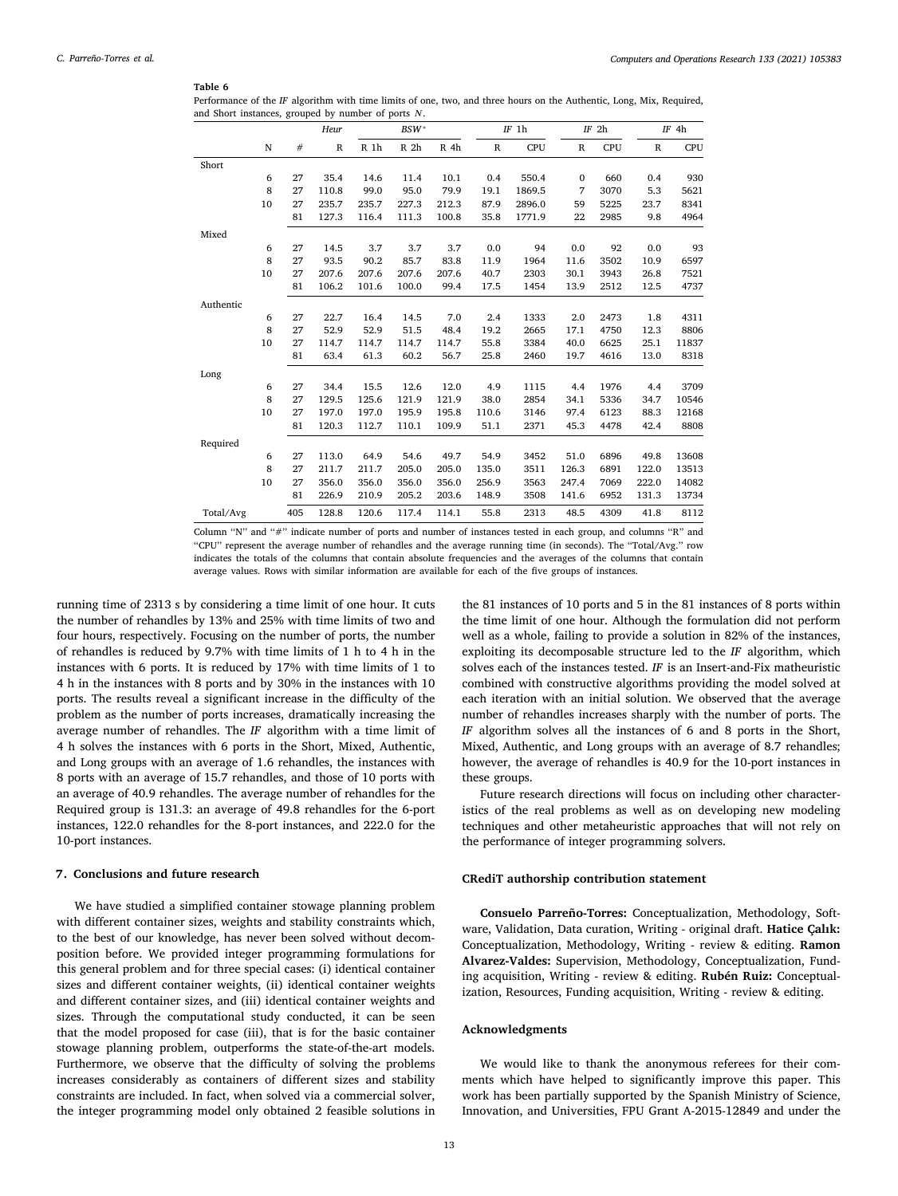<span id="page-12-1"></span>Performance of the *IF* algorithm with time limits of one, two, and three hours on the Authentic, Long, Mix, Required, and Short instances, grouped by number of ports  $N$ .

|           |             |     | Heur        | BSW*  |                 |                 | $IF$ 1h |        | $IF$ 2h      |      | $IF$ 4h      |            |
|-----------|-------------|-----|-------------|-------|-----------------|-----------------|---------|--------|--------------|------|--------------|------------|
|           | $\mathbf N$ | #   | $\mathbb R$ | R 1h  | R <sub>2h</sub> | R <sub>4h</sub> | R       | CPU    | $\, {\bf R}$ | CPU  | $\, {\bf R}$ | <b>CPU</b> |
| Short     |             |     |             |       |                 |                 |         |        |              |      |              |            |
|           | 6           | 27  | 35.4        | 14.6  | 11.4            | 10.1            | 0.4     | 550.4  | $\mathbf{0}$ | 660  | 0.4          | 930        |
|           | 8           | 27  | 110.8       | 99.0  | 95.0            | 79.9            | 19.1    | 1869.5 | 7            | 3070 | 5.3          | 5621       |
|           | 10          | 27  | 235.7       | 235.7 | 227.3           | 212.3           | 87.9    | 2896.0 | 59           | 5225 | 23.7         | 8341       |
|           |             | 81  | 127.3       | 116.4 | 111.3           | 100.8           | 35.8    | 1771.9 | 22           | 2985 | 9.8          | 4964       |
| Mixed     |             |     |             |       |                 |                 |         |        |              |      |              |            |
|           | 6           | 27  | 14.5        | 3.7   | 3.7             | 3.7             | 0.0     | 94     | 0.0          | 92   | 0.0          | 93         |
|           | 8           | 27  | 93.5        | 90.2  | 85.7            | 83.8            | 11.9    | 1964   | 11.6         | 3502 | 10.9         | 6597       |
|           | 10          | 27  | 207.6       | 207.6 | 207.6           | 207.6           | 40.7    | 2303   | 30.1         | 3943 | 26.8         | 7521       |
|           |             | 81  | 106.2       | 101.6 | 100.0           | 99.4            | 17.5    | 1454   | 13.9         | 2512 | 12.5         | 4737       |
| Authentic |             |     |             |       |                 |                 |         |        |              |      |              |            |
|           | 6           | 27  | 22.7        | 16.4  | 14.5            | 7.0             | 2.4     | 1333   | 2.0          | 2473 | 1.8          | 4311       |
|           | 8           | 27  | 52.9        | 52.9  | 51.5            | 48.4            | 19.2    | 2665   | 17.1         | 4750 | 12.3         | 8806       |
|           | 10          | 27  | 114.7       | 114.7 | 114.7           | 114.7           | 55.8    | 3384   | 40.0         | 6625 | 25.1         | 11837      |
|           |             | 81  | 63.4        | 61.3  | 60.2            | 56.7            | 25.8    | 2460   | 19.7         | 4616 | 13.0         | 8318       |
| Long      |             |     |             |       |                 |                 |         |        |              |      |              |            |
|           | 6           | 27  | 34.4        | 15.5  | 12.6            | 12.0            | 4.9     | 1115   | 4.4          | 1976 | 4.4          | 3709       |
|           | 8           | 27  | 129.5       | 125.6 | 121.9           | 121.9           | 38.0    | 2854   | 34.1         | 5336 | 34.7         | 10546      |
|           | 10          | 27  | 197.0       | 197.0 | 195.9           | 195.8           | 110.6   | 3146   | 97.4         | 6123 | 88.3         | 12168      |
|           |             | 81  | 120.3       | 112.7 | 110.1           | 109.9           | 51.1    | 2371   | 45.3         | 4478 | 42.4         | 8808       |
| Required  |             |     |             |       |                 |                 |         |        |              |      |              |            |
|           | 6           | 27  | 113.0       | 64.9  | 54.6            | 49.7            | 54.9    | 3452   | 51.0         | 6896 | 49.8         | 13608      |
|           | 8           | 27  | 211.7       | 211.7 | 205.0           | 205.0           | 135.0   | 3511   | 126.3        | 6891 | 122.0        | 13513      |
|           | 10          | 27  | 356.0       | 356.0 | 356.0           | 356.0           | 256.9   | 3563   | 247.4        | 7069 | 222.0        | 14082      |
|           |             | 81  | 226.9       | 210.9 | 205.2           | 203.6           | 148.9   | 3508   | 141.6        | 6952 | 131.3        | 13734      |
| Total/Avg |             | 405 | 128.8       | 120.6 | 117.4           | 114.1           | 55.8    | 2313   | 48.5         | 4309 | 41.8         | 8112       |

Column ''N'' and ''#'' indicate number of ports and number of instances tested in each group, and columns ''R'' and ''CPU'' represent the average number of rehandles and the average running time (in seconds). The ''Total/Avg.'' row indicates the totals of the columns that contain absolute frequencies and the averages of the columns that contain average values. Rows with similar information are available for each of the five groups of instances.

running time of 2313 s by considering a time limit of one hour. It cuts the number of rehandles by 13% and 25% with time limits of two and four hours, respectively. Focusing on the number of ports, the number of rehandles is reduced by 9.7% with time limits of 1 h to 4 h in the instances with 6 ports. It is reduced by 17% with time limits of 1 to 4 h in the instances with 8 ports and by 30% in the instances with 10 ports. The results reveal a significant increase in the difficulty of the problem as the number of ports increases, dramatically increasing the average number of rehandles. The *IF* algorithm with a time limit of 4 h solves the instances with 6 ports in the Short, Mixed, Authentic, and Long groups with an average of 1.6 rehandles, the instances with 8 ports with an average of 15.7 rehandles, and those of 10 ports with an average of 40.9 rehandles. The average number of rehandles for the Required group is 131.3: an average of 49.8 rehandles for the 6-port instances, 122.0 rehandles for the 8-port instances, and 222.0 for the 10-port instances.

## **7. Conclusions and future research**

<span id="page-12-0"></span>We have studied a simplified container stowage planning problem with different container sizes, weights and stability constraints which, to the best of our knowledge, has never been solved without decomposition before. We provided integer programming formulations for this general problem and for three special cases: (i) identical container sizes and different container weights, (ii) identical container weights and different container sizes, and (iii) identical container weights and sizes. Through the computational study conducted, it can be seen that the model proposed for case (iii), that is for the basic container stowage planning problem, outperforms the state-of-the-art models. Furthermore, we observe that the difficulty of solving the problems increases considerably as containers of different sizes and stability constraints are included. In fact, when solved via a commercial solver, the integer programming model only obtained 2 feasible solutions in

the 81 instances of 10 ports and 5 in the 81 instances of 8 ports within the time limit of one hour. Although the formulation did not perform well as a whole, failing to provide a solution in 82% of the instances, exploiting its decomposable structure led to the *IF* algorithm, which solves each of the instances tested. *IF* is an Insert-and-Fix matheuristic combined with constructive algorithms providing the model solved at each iteration with an initial solution. We observed that the average number of rehandles increases sharply with the number of ports. The *IF* algorithm solves all the instances of 6 and 8 ports in the Short, Mixed, Authentic, and Long groups with an average of 8.7 rehandles; however, the average of rehandles is 40.9 for the 10-port instances in these groups.

Future research directions will focus on including other characteristics of the real problems as well as on developing new modeling techniques and other metaheuristic approaches that will not rely on the performance of integer programming solvers.

## **CRediT authorship contribution statement**

**Consuelo Parreño-Torres:** Conceptualization, Methodology, Software, Validation, Data curation, Writing - original draft. **Hatice Çalık:** Conceptualization, Methodology, Writing - review & editing. **Ramon Alvarez-Valdes:** Supervision, Methodology, Conceptualization, Funding acquisition, Writing - review & editing. **Rubén Ruiz:** Conceptualization, Resources, Funding acquisition, Writing - review & editing.

## **Acknowledgments**

We would like to thank the anonymous referees for their comments which have helped to significantly improve this paper. This work has been partially supported by the Spanish Ministry of Science, Innovation, and Universities, FPU Grant A-2015-12849 and under the